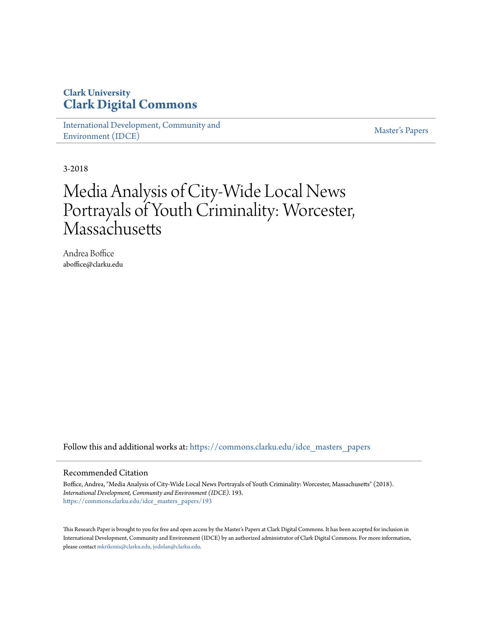# **Clark University [Clark Digital Commons](https://commons.clarku.edu?utm_source=commons.clarku.edu%2Fidce_masters_papers%2F193&utm_medium=PDF&utm_campaign=PDFCoverPages)**

[International Development, Community and](https://commons.clarku.edu/idce_masters_papers?utm_source=commons.clarku.edu%2Fidce_masters_papers%2F193&utm_medium=PDF&utm_campaign=PDFCoverPages) [Environment \(IDCE\)](https://commons.clarku.edu/idce_masters_papers?utm_source=commons.clarku.edu%2Fidce_masters_papers%2F193&utm_medium=PDF&utm_campaign=PDFCoverPages)

[Master's Papers](https://commons.clarku.edu/masters_papers?utm_source=commons.clarku.edu%2Fidce_masters_papers%2F193&utm_medium=PDF&utm_campaign=PDFCoverPages)

3-2018

# Media Analysis of City-Wide Local News Portrayals of Youth Criminality: Worcester, **Massachusetts**

Andrea Boffice aboffice@clarku.edu

Follow this and additional works at: [https://commons.clarku.edu/idce\\_masters\\_papers](https://commons.clarku.edu/idce_masters_papers?utm_source=commons.clarku.edu%2Fidce_masters_papers%2F193&utm_medium=PDF&utm_campaign=PDFCoverPages)

#### Recommended Citation

Boffice, Andrea, "Media Analysis of City-Wide Local News Portrayals of Youth Criminality: Worcester, Massachusetts" (2018). *International Development, Community and Environment (IDCE)*. 193. [https://commons.clarku.edu/idce\\_masters\\_papers/193](https://commons.clarku.edu/idce_masters_papers/193?utm_source=commons.clarku.edu%2Fidce_masters_papers%2F193&utm_medium=PDF&utm_campaign=PDFCoverPages)

This Research Paper is brought to you for free and open access by the Master's Papers at Clark Digital Commons. It has been accepted for inclusion in International Development, Community and Environment (IDCE) by an authorized administrator of Clark Digital Commons. For more information, please contact [mkrikonis@clarku.edu, jodolan@clarku.edu](mailto:mkrikonis@clarku.edu,%20jodolan@clarku.edu).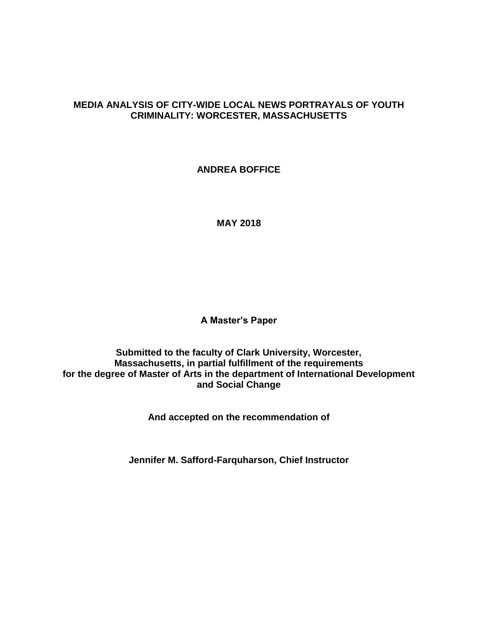# **MEDIA ANALYSIS OF CITY-WIDE LOCAL NEWS PORTRAYALS OF YOUTH CRIMINALITY: WORCESTER, MASSACHUSETTS**

**ANDREA BOFFICE**

**MAY 2018**

**A Master's Paper**

**Submitted to the faculty of Clark University, Worcester, Massachusetts, in partial fulfillment of the requirements for the degree of Master of Arts in the department of International Development and Social Change**

**And accepted on the recommendation of**

**Jennifer M. Safford-Farquharson, Chief Instructor**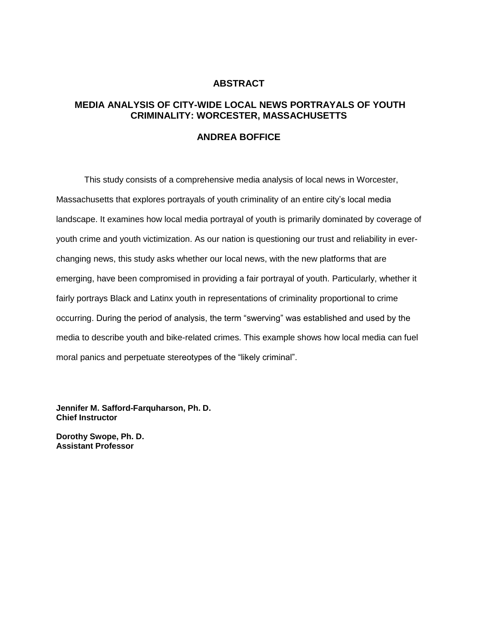### **ABSTRACT**

# **MEDIA ANALYSIS OF CITY-WIDE LOCAL NEWS PORTRAYALS OF YOUTH CRIMINALITY: WORCESTER, MASSACHUSETTS**

#### **ANDREA BOFFICE**

This study consists of a comprehensive media analysis of local news in Worcester, Massachusetts that explores portrayals of youth criminality of an entire city's local media landscape. It examines how local media portrayal of youth is primarily dominated by coverage of youth crime and youth victimization. As our nation is questioning our trust and reliability in everchanging news, this study asks whether our local news, with the new platforms that are emerging, have been compromised in providing a fair portrayal of youth. Particularly, whether it fairly portrays Black and Latinx youth in representations of criminality proportional to crime occurring. During the period of analysis, the term "swerving" was established and used by the media to describe youth and bike-related crimes. This example shows how local media can fuel moral panics and perpetuate stereotypes of the "likely criminal".

**Jennifer M. Safford-Farquharson, Ph. D. Chief Instructor**

**Dorothy Swope, Ph. D. Assistant Professor**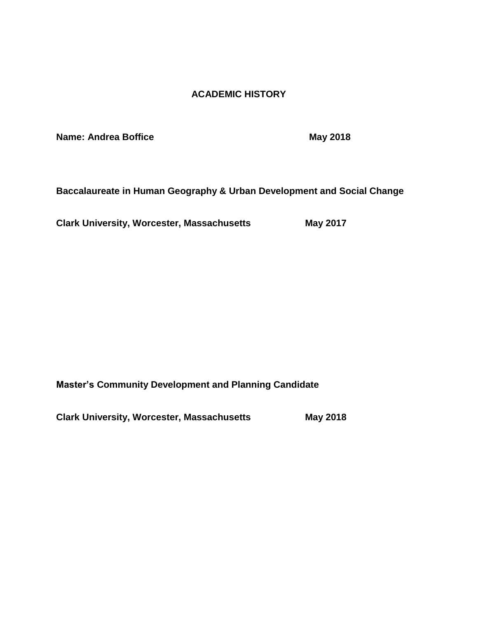# **ACADEMIC HISTORY**

**Name: Andrea Boffice May 2018** 

**Baccalaureate in Human Geography & Urban Development and Social Change**

**Clark University, Worcester, Massachusetts May 2017** 

**Master's Community Development and Planning Candidate** 

**Clark University, Worcester, Massachusetts May 2018**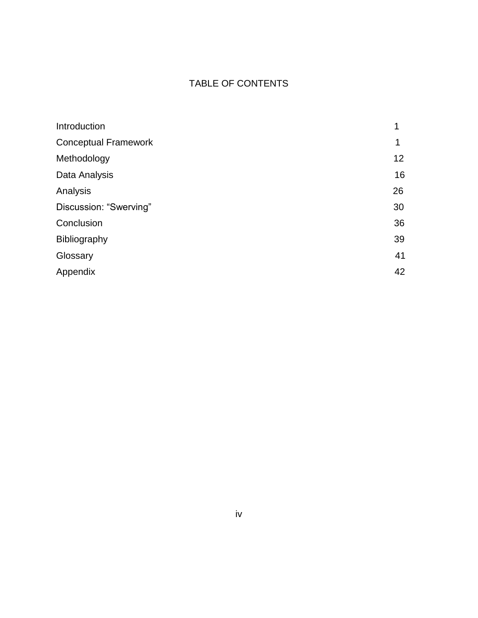# TABLE OF CONTENTS

| Introduction                | 1  |
|-----------------------------|----|
| <b>Conceptual Framework</b> | 1  |
| Methodology                 | 12 |
| Data Analysis               | 16 |
| Analysis                    | 26 |
| Discussion: "Swerving"      | 30 |
| Conclusion                  | 36 |
| Bibliography                | 39 |
| Glossary                    | 41 |
| Appendix                    | 42 |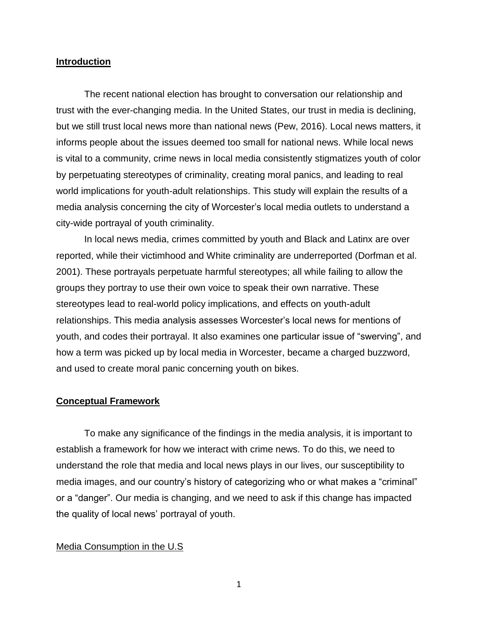#### **Introduction**

The recent national election has brought to conversation our relationship and trust with the ever-changing media. In the United States, our trust in media is declining, but we still trust local news more than national news (Pew, 2016). Local news matters, it informs people about the issues deemed too small for national news. While local news is vital to a community, crime news in local media consistently stigmatizes youth of color by perpetuating stereotypes of criminality, creating moral panics, and leading to real world implications for youth-adult relationships. This study will explain the results of a media analysis concerning the city of Worcester's local media outlets to understand a city-wide portrayal of youth criminality.

In local news media, crimes committed by youth and Black and Latinx are over reported, while their victimhood and White criminality are underreported (Dorfman et al. 2001). These portrayals perpetuate harmful stereotypes; all while failing to allow the groups they portray to use their own voice to speak their own narrative. These stereotypes lead to real-world policy implications, and effects on youth-adult relationships. This media analysis assesses Worcester's local news for mentions of youth, and codes their portrayal. It also examines one particular issue of "swerving", and how a term was picked up by local media in Worcester, became a charged buzzword, and used to create moral panic concerning youth on bikes.

#### **Conceptual Framework**

To make any significance of the findings in the media analysis, it is important to establish a framework for how we interact with crime news. To do this, we need to understand the role that media and local news plays in our lives, our susceptibility to media images, and our country's history of categorizing who or what makes a "criminal" or a "danger". Our media is changing, and we need to ask if this change has impacted the quality of local news' portrayal of youth.

#### Media Consumption in the U.S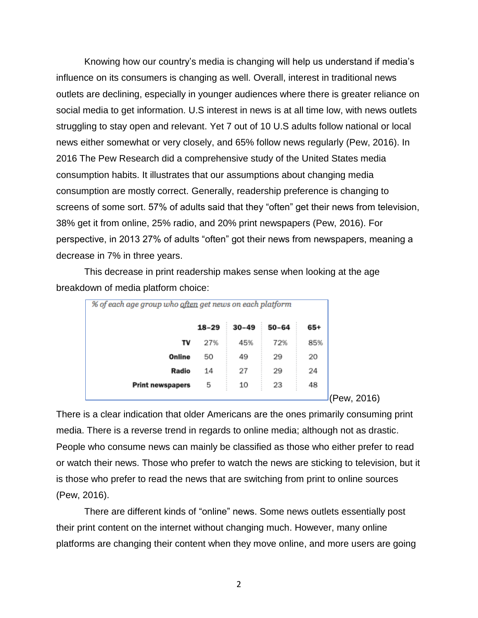Knowing how our country's media is changing will help us understand if media's influence on its consumers is changing as well. Overall, interest in traditional news outlets are declining, especially in younger audiences where there is greater reliance on social media to get information. U.S interest in news is at all time low, with news outlets struggling to stay open and relevant. Yet 7 out of 10 U.S adults follow national or local news either somewhat or very closely, and 65% follow news regularly (Pew, 2016). In 2016 The Pew Research did a comprehensive study of the United States media consumption habits. It illustrates that our assumptions about changing media consumption are mostly correct. Generally, readership preference is changing to screens of some sort. 57% of adults said that they "often" get their news from television, 38% get it from online, 25% radio, and 20% print newspapers (Pew, 2016). For perspective, in 2013 27% of adults "often" got their news from newspapers, meaning a decrease in 7% in three years.

This decrease in print readership makes sense when looking at the age breakdown of media platform choice:

| % of each age group who often get news on each platform |           |           |           |     |
|---------------------------------------------------------|-----------|-----------|-----------|-----|
|                                                         | $18 - 29$ | $30 - 49$ | $50 - 64$ | 65+ |
| т٧                                                      | 27%       | 45%       | 72%       | 85% |
| Online                                                  | 50        |           |           | 20  |
| 24<br>Radio<br>27<br>29<br>14                           |           |           |           |     |
| <b>Print newspapers</b>                                 | 5         | 10        | 23        | 48  |
|                                                         |           |           |           |     |

(Pew, 2016)

There is a clear indication that older Americans are the ones primarily consuming print media. There is a reverse trend in regards to online media; although not as drastic. People who consume news can mainly be classified as those who either prefer to read or watch their news. Those who prefer to watch the news are sticking to television, but it is those who prefer to read the news that are switching from print to online sources (Pew, 2016).

There are different kinds of "online" news. Some news outlets essentially post their print content on the internet without changing much. However, many online platforms are changing their content when they move online, and more users are going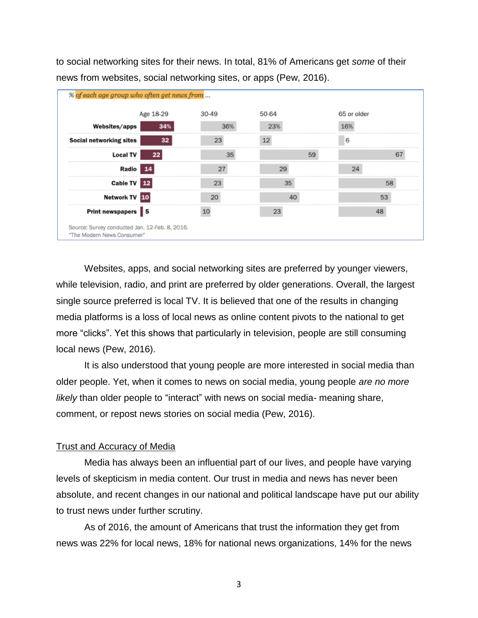to social networking sites for their news. In total, 81% of Americans get *some* of their news from websites, social networking sites, or apps (Pew, 2016).



Websites, apps, and social networking sites are preferred by younger viewers, while television, radio, and print are preferred by older generations. Overall, the largest single source preferred is local TV. It is believed that one of the results in changing media platforms is a loss of local news as online content pivots to the national to get more "clicks". Yet this shows that particularly in television, people are still consuming local news (Pew, 2016).

It is also understood that young people are more interested in social media than older people. Yet, when it comes to news on social media, young people *are no more likely* than older people to "interact" with news on social media- meaning share, comment, or repost news stories on social media (Pew, 2016).

### Trust and Accuracy of Media

Media has always been an influential part of our lives, and people have varying levels of skepticism in media content. Our trust in media and news has never been absolute, and recent changes in our national and political landscape have put our ability to trust news under further scrutiny.

As of 2016, the amount of Americans that trust the information they get from news was 22% for local news, 18% for national news organizations, 14% for the news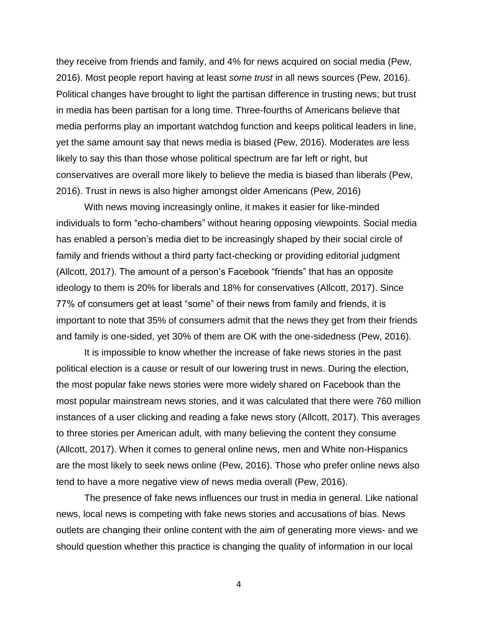they receive from friends and family, and 4% for news acquired on social media (Pew, 2016). Most people report having at least *some trust* in all news sources (Pew, 2016). Political changes have brought to light the partisan difference in trusting news; but trust in media has been partisan for a long time. Three-fourths of Americans believe that media performs play an important watchdog function and keeps political leaders in line, yet the same amount say that news media is biased (Pew, 2016). Moderates are less likely to say this than those whose political spectrum are far left or right, but conservatives are overall more likely to believe the media is biased than liberals (Pew, 2016). Trust in news is also higher amongst older Americans (Pew, 2016)

With news moving increasingly online, it makes it easier for like-minded individuals to form "echo-chambers" without hearing opposing viewpoints. Social media has enabled a person's media diet to be increasingly shaped by their social circle of family and friends without a third party fact-checking or providing editorial judgment (Allcott, 2017). The amount of a person's Facebook "friends" that has an opposite ideology to them is 20% for liberals and 18% for conservatives (Allcott, 2017). Since 77% of consumers get at least "some" of their news from family and friends, it is important to note that 35% of consumers admit that the news they get from their friends and family is one-sided, yet 30% of them are OK with the one-sidedness (Pew, 2016).

It is impossible to know whether the increase of fake news stories in the past political election is a cause or result of our lowering trust in news. During the election, the most popular fake news stories were more widely shared on Facebook than the most popular mainstream news stories, and it was calculated that there were 760 million instances of a user clicking and reading a fake news story (Allcott, 2017). This averages to three stories per American adult, with many believing the content they consume (Allcott, 2017). When it comes to general online news, men and White non-Hispanics are the most likely to seek news online (Pew, 2016). Those who prefer online news also tend to have a more negative view of news media overall (Pew, 2016).

The presence of fake news influences our trust in media in general. Like national news, local news is competing with fake news stories and accusations of bias. News outlets are changing their online content with the aim of generating more views- and we should question whether this practice is changing the quality of information in our local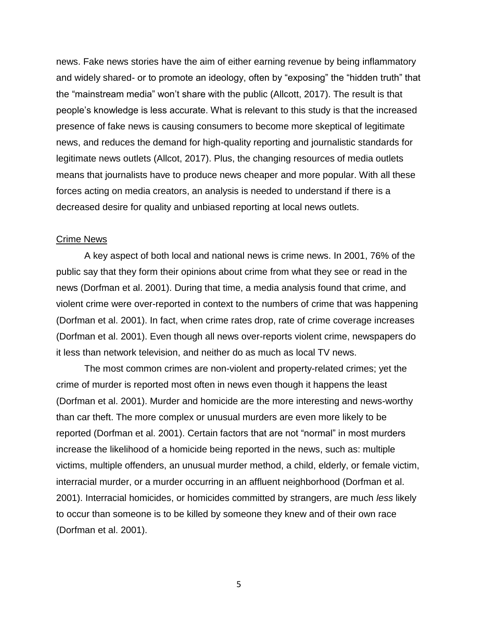news. Fake news stories have the aim of either earning revenue by being inflammatory and widely shared- or to promote an ideology, often by "exposing" the "hidden truth" that the "mainstream media" won't share with the public (Allcott, 2017). The result is that people's knowledge is less accurate. What is relevant to this study is that the increased presence of fake news is causing consumers to become more skeptical of legitimate news, and reduces the demand for high-quality reporting and journalistic standards for legitimate news outlets (Allcot, 2017). Plus, the changing resources of media outlets means that journalists have to produce news cheaper and more popular. With all these forces acting on media creators, an analysis is needed to understand if there is a decreased desire for quality and unbiased reporting at local news outlets.

#### Crime News

A key aspect of both local and national news is crime news. In 2001, 76% of the public say that they form their opinions about crime from what they see or read in the news (Dorfman et al. 2001). During that time, a media analysis found that crime, and violent crime were over-reported in context to the numbers of crime that was happening (Dorfman et al. 2001). In fact, when crime rates drop, rate of crime coverage increases (Dorfman et al. 2001). Even though all news over-reports violent crime, newspapers do it less than network television, and neither do as much as local TV news.

The most common crimes are non-violent and property-related crimes; yet the crime of murder is reported most often in news even though it happens the least (Dorfman et al. 2001). Murder and homicide are the more interesting and news-worthy than car theft. The more complex or unusual murders are even more likely to be reported (Dorfman et al. 2001). Certain factors that are not "normal" in most murders increase the likelihood of a homicide being reported in the news, such as: multiple victims, multiple offenders, an unusual murder method, a child, elderly, or female victim, interracial murder, or a murder occurring in an affluent neighborhood (Dorfman et al. 2001). Interracial homicides, or homicides committed by strangers, are much *less* likely to occur than someone is to be killed by someone they knew and of their own race (Dorfman et al. 2001).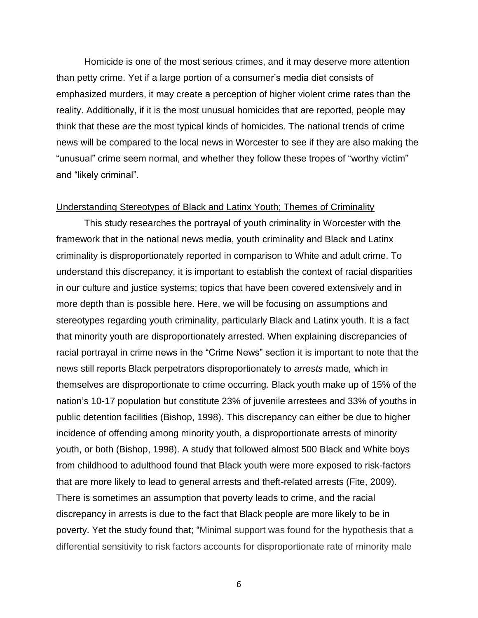Homicide is one of the most serious crimes, and it may deserve more attention than petty crime. Yet if a large portion of a consumer's media diet consists of emphasized murders, it may create a perception of higher violent crime rates than the reality. Additionally, if it is the most unusual homicides that are reported, people may think that these *are* the most typical kinds of homicides. The national trends of crime news will be compared to the local news in Worcester to see if they are also making the "unusual" crime seem normal, and whether they follow these tropes of "worthy victim" and "likely criminal".

#### Understanding Stereotypes of Black and Latinx Youth; Themes of Criminality

This study researches the portrayal of youth criminality in Worcester with the framework that in the national news media, youth criminality and Black and Latinx criminality is disproportionately reported in comparison to White and adult crime. To understand this discrepancy, it is important to establish the context of racial disparities in our culture and justice systems; topics that have been covered extensively and in more depth than is possible here. Here, we will be focusing on assumptions and stereotypes regarding youth criminality, particularly Black and Latinx youth. It is a fact that minority youth are disproportionately arrested. When explaining discrepancies of racial portrayal in crime news in the "Crime News" section it is important to note that the news still reports Black perpetrators disproportionately to *arrests* made*,* which in themselves are disproportionate to crime occurring*.* Black youth make up of 15% of the nation's 10-17 population but constitute 23% of juvenile arrestees and 33% of youths in public detention facilities (Bishop, 1998). This discrepancy can either be due to higher incidence of offending among minority youth, a disproportionate arrests of minority youth, or both (Bishop, 1998). A study that followed almost 500 Black and White boys from childhood to adulthood found that Black youth were more exposed to risk-factors that are more likely to lead to general arrests and theft-related arrests (Fite, 2009). There is sometimes an assumption that poverty leads to crime, and the racial discrepancy in arrests is due to the fact that Black people are more likely to be in poverty. Yet the study found that; "Minimal support was found for the hypothesis that a differential sensitivity to risk factors accounts for disproportionate rate of minority male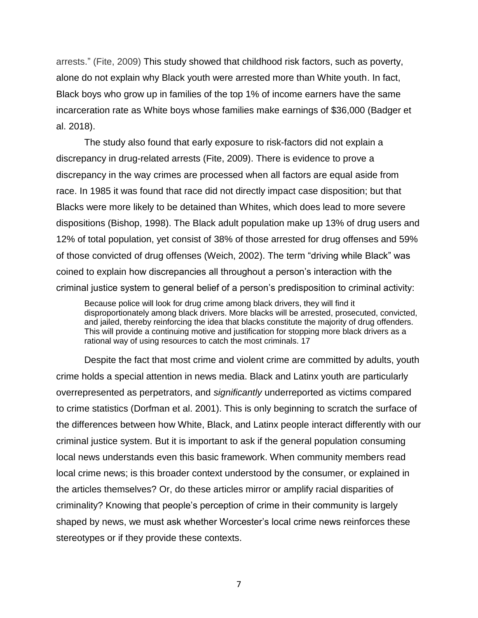arrests." (Fite, 2009) This study showed that childhood risk factors, such as poverty, alone do not explain why Black youth were arrested more than White youth. In fact, Black boys who grow up in families of the top 1% of income earners have the same incarceration rate as White boys whose families make earnings of \$36,000 (Badger et al. 2018).

The study also found that early exposure to risk-factors did not explain a discrepancy in drug-related arrests (Fite, 2009). There is evidence to prove a discrepancy in the way crimes are processed when all factors are equal aside from race. In 1985 it was found that race did not directly impact case disposition; but that Blacks were more likely to be detained than Whites, which does lead to more severe dispositions (Bishop, 1998). The Black adult population make up 13% of drug users and 12% of total population, yet consist of 38% of those arrested for drug offenses and 59% of those convicted of drug offenses (Weich, 2002). The term "driving while Black" was coined to explain how discrepancies all throughout a person's interaction with the criminal justice system to general belief of a person's predisposition to criminal activity:

Because police will look for drug crime among black drivers, they will find it disproportionately among black drivers. More blacks will be arrested, prosecuted, convicted, and jailed, thereby reinforcing the idea that blacks constitute the majority of drug offenders. This will provide a continuing motive and justification for stopping more black drivers as a rational way of using resources to catch the most criminals. 17

Despite the fact that most crime and violent crime are committed by adults, youth crime holds a special attention in news media. Black and Latinx youth are particularly overrepresented as perpetrators, and *significantly* underreported as victims compared to crime statistics (Dorfman et al. 2001). This is only beginning to scratch the surface of the differences between how White, Black, and Latinx people interact differently with our criminal justice system. But it is important to ask if the general population consuming local news understands even this basic framework. When community members read local crime news; is this broader context understood by the consumer, or explained in the articles themselves? Or, do these articles mirror or amplify racial disparities of criminality? Knowing that people's perception of crime in their community is largely shaped by news, we must ask whether Worcester's local crime news reinforces these stereotypes or if they provide these contexts.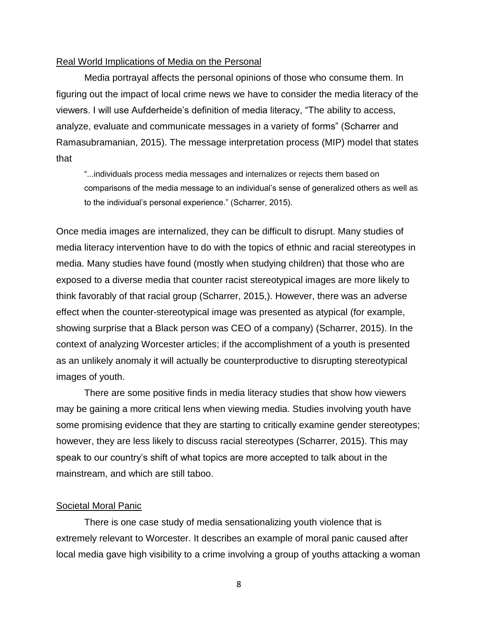#### Real World Implications of Media on the Personal

Media portrayal affects the personal opinions of those who consume them. In figuring out the impact of local crime news we have to consider the media literacy of the viewers. I will use Aufderheide's definition of media literacy, "The ability to access, analyze, evaluate and communicate messages in a variety of forms" (Scharrer and Ramasubramanian, 2015). The message interpretation process (MIP) model that states that

"...individuals process media messages and internalizes or rejects them based on comparisons of the media message to an individual's sense of generalized others as well as to the individual's personal experience." (Scharrer, 2015).

Once media images are internalized, they can be difficult to disrupt. Many studies of media literacy intervention have to do with the topics of ethnic and racial stereotypes in media. Many studies have found (mostly when studying children) that those who are exposed to a diverse media that counter racist stereotypical images are more likely to think favorably of that racial group (Scharrer, 2015,). However, there was an adverse effect when the counter-stereotypical image was presented as atypical (for example, showing surprise that a Black person was CEO of a company) (Scharrer, 2015). In the context of analyzing Worcester articles; if the accomplishment of a youth is presented as an unlikely anomaly it will actually be counterproductive to disrupting stereotypical images of youth.

There are some positive finds in media literacy studies that show how viewers may be gaining a more critical lens when viewing media. Studies involving youth have some promising evidence that they are starting to critically examine gender stereotypes; however, they are less likely to discuss racial stereotypes (Scharrer, 2015). This may speak to our country's shift of what topics are more accepted to talk about in the mainstream, and which are still taboo.

#### Societal Moral Panic

There is one case study of media sensationalizing youth violence that is extremely relevant to Worcester. It describes an example of moral panic caused after local media gave high visibility to a crime involving a group of youths attacking a woman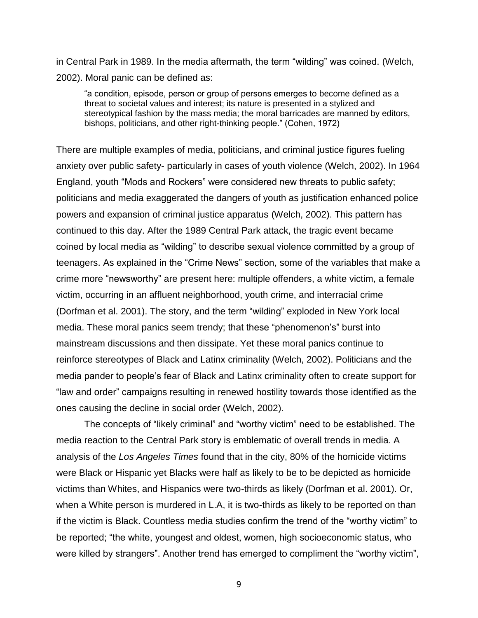in Central Park in 1989. In the media aftermath, the term "wilding" was coined. (Welch, 2002). Moral panic can be defined as:

"a condition, episode, person or group of persons emerges to become defined as a threat to societal values and interest; its nature is presented in a stylized and stereotypical fashion by the mass media; the moral barricades are manned by editors, bishops, politicians, and other right-thinking people." (Cohen, 1972)

There are multiple examples of media, politicians, and criminal justice figures fueling anxiety over public safety- particularly in cases of youth violence (Welch, 2002). In 1964 England, youth "Mods and Rockers" were considered new threats to public safety; politicians and media exaggerated the dangers of youth as justification enhanced police powers and expansion of criminal justice apparatus (Welch, 2002). This pattern has continued to this day. After the 1989 Central Park attack, the tragic event became coined by local media as "wilding" to describe sexual violence committed by a group of teenagers. As explained in the "Crime News" section, some of the variables that make a crime more "newsworthy" are present here: multiple offenders, a white victim, a female victim, occurring in an affluent neighborhood, youth crime, and interracial crime (Dorfman et al. 2001). The story, and the term "wilding" exploded in New York local media. These moral panics seem trendy; that these "phenomenon's" burst into mainstream discussions and then dissipate. Yet these moral panics continue to reinforce stereotypes of Black and Latinx criminality (Welch, 2002). Politicians and the media pander to people's fear of Black and Latinx criminality often to create support for "law and order" campaigns resulting in renewed hostility towards those identified as the ones causing the decline in social order (Welch, 2002).

The concepts of "likely criminal" and "worthy victim" need to be established. The media reaction to the Central Park story is emblematic of overall trends in media. A analysis of the *Los Angeles Times* found that in the city, 80% of the homicide victims were Black or Hispanic yet Blacks were half as likely to be to be depicted as homicide victims than Whites, and Hispanics were two-thirds as likely (Dorfman et al. 2001). Or, when a White person is murdered in L.A, it is two-thirds as likely to be reported on than if the victim is Black. Countless media studies confirm the trend of the "worthy victim" to be reported; "the white, youngest and oldest, women, high socioeconomic status, who were killed by strangers". Another trend has emerged to compliment the "worthy victim",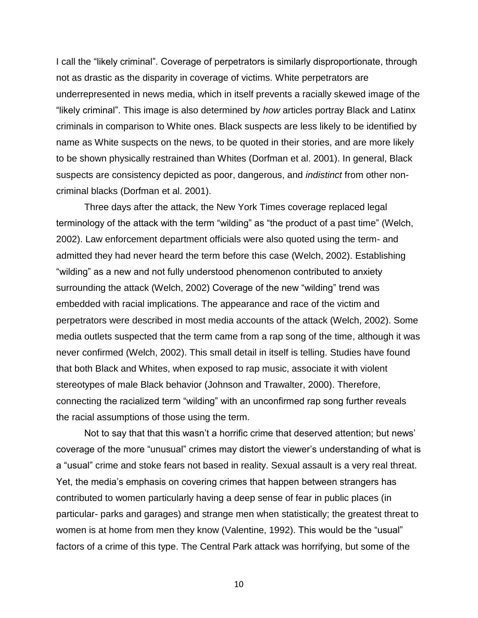I call the "likely criminal". Coverage of perpetrators is similarly disproportionate, through not as drastic as the disparity in coverage of victims. White perpetrators are underrepresented in news media, which in itself prevents a racially skewed image of the "likely criminal". This image is also determined by *how* articles portray Black and Latinx criminals in comparison to White ones. Black suspects are less likely to be identified by name as White suspects on the news, to be quoted in their stories, and are more likely to be shown physically restrained than Whites (Dorfman et al. 2001). In general, Black suspects are consistency depicted as poor, dangerous, and *indistinct* from other noncriminal blacks (Dorfman et al. 2001).

Three days after the attack, the New York Times coverage replaced legal terminology of the attack with the term "wilding" as "the product of a past time" (Welch, 2002). Law enforcement department officials were also quoted using the term- and admitted they had never heard the term before this case (Welch, 2002). Establishing "wilding" as a new and not fully understood phenomenon contributed to anxiety surrounding the attack (Welch, 2002) Coverage of the new "wilding" trend was embedded with racial implications. The appearance and race of the victim and perpetrators were described in most media accounts of the attack (Welch, 2002). Some media outlets suspected that the term came from a rap song of the time, although it was never confirmed (Welch, 2002). This small detail in itself is telling. Studies have found that both Black and Whites, when exposed to rap music, associate it with violent stereotypes of male Black behavior (Johnson and Trawalter, 2000). Therefore, connecting the racialized term "wilding" with an unconfirmed rap song further reveals the racial assumptions of those using the term.

Not to say that that this wasn't a horrific crime that deserved attention; but news' coverage of the more "unusual" crimes may distort the viewer's understanding of what is a "usual" crime and stoke fears not based in reality. Sexual assault is a very real threat. Yet, the media's emphasis on covering crimes that happen between strangers has contributed to women particularly having a deep sense of fear in public places (in particular- parks and garages) and strange men when statistically; the greatest threat to women is at home from men they know (Valentine, 1992). This would be the "usual" factors of a crime of this type. The Central Park attack was horrifying, but some of the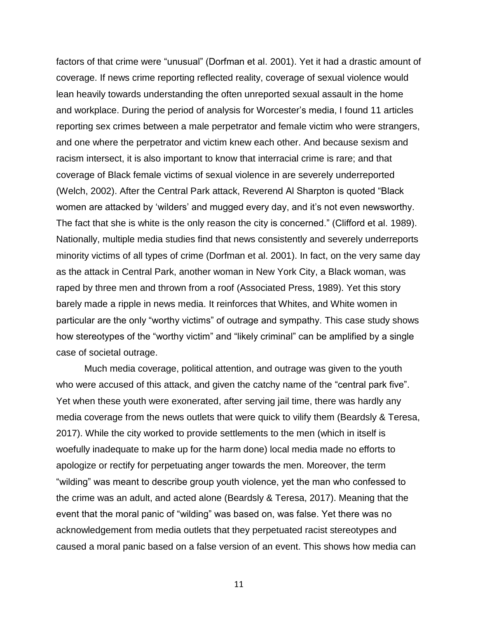factors of that crime were "unusual" (Dorfman et al. 2001). Yet it had a drastic amount of coverage. If news crime reporting reflected reality, coverage of sexual violence would lean heavily towards understanding the often unreported sexual assault in the home and workplace. During the period of analysis for Worcester's media, I found 11 articles reporting sex crimes between a male perpetrator and female victim who were strangers, and one where the perpetrator and victim knew each other. And because sexism and racism intersect, it is also important to know that interracial crime is rare; and that coverage of Black female victims of sexual violence in are severely underreported (Welch, 2002). After the Central Park attack, Reverend Al Sharpton is quoted "Black women are attacked by 'wilders' and mugged every day, and it's not even newsworthy. The fact that she is white is the only reason the city is concerned." (Clifford et al. 1989). Nationally, multiple media studies find that news consistently and severely underreports minority victims of all types of crime (Dorfman et al. 2001). In fact, on the very same day as the attack in Central Park, another woman in New York City, a Black woman, was raped by three men and thrown from a roof (Associated Press, 1989). Yet this story barely made a ripple in news media. It reinforces that Whites, and White women in particular are the only "worthy victims" of outrage and sympathy. This case study shows how stereotypes of the "worthy victim" and "likely criminal" can be amplified by a single case of societal outrage.

Much media coverage, political attention, and outrage was given to the youth who were accused of this attack, and given the catchy name of the "central park five". Yet when these youth were exonerated, after serving jail time, there was hardly any media coverage from the news outlets that were quick to vilify them (Beardsly & Teresa, 2017). While the city worked to provide settlements to the men (which in itself is woefully inadequate to make up for the harm done) local media made no efforts to apologize or rectify for perpetuating anger towards the men. Moreover, the term "wilding" was meant to describe group youth violence, yet the man who confessed to the crime was an adult, and acted alone (Beardsly & Teresa, 2017). Meaning that the event that the moral panic of "wilding" was based on, was false. Yet there was no acknowledgement from media outlets that they perpetuated racist stereotypes and caused a moral panic based on a false version of an event. This shows how media can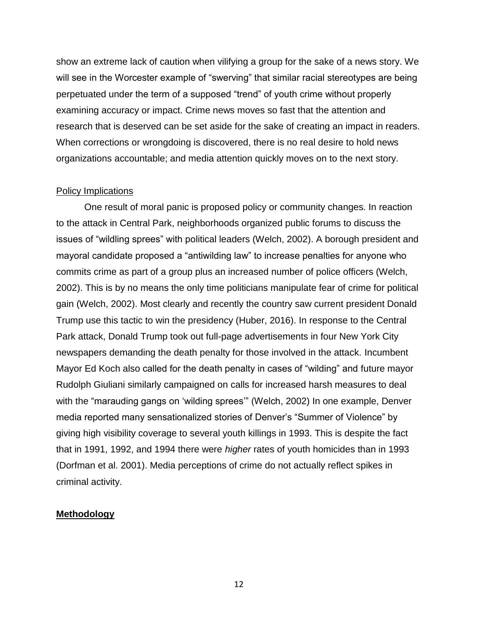show an extreme lack of caution when vilifying a group for the sake of a news story. We will see in the Worcester example of "swerving" that similar racial stereotypes are being perpetuated under the term of a supposed "trend" of youth crime without properly examining accuracy or impact. Crime news moves so fast that the attention and research that is deserved can be set aside for the sake of creating an impact in readers. When corrections or wrongdoing is discovered, there is no real desire to hold news organizations accountable; and media attention quickly moves on to the next story.

#### Policy Implications

One result of moral panic is proposed policy or community changes. In reaction to the attack in Central Park, neighborhoods organized public forums to discuss the issues of "wildling sprees" with political leaders (Welch, 2002). A borough president and mayoral candidate proposed a "antiwilding law" to increase penalties for anyone who commits crime as part of a group plus an increased number of police officers (Welch, 2002). This is by no means the only time politicians manipulate fear of crime for political gain (Welch, 2002). Most clearly and recently the country saw current president Donald Trump use this tactic to win the presidency (Huber, 2016). In response to the Central Park attack, Donald Trump took out full-page advertisements in four New York City newspapers demanding the death penalty for those involved in the attack. Incumbent Mayor Ed Koch also called for the death penalty in cases of "wilding" and future mayor Rudolph Giuliani similarly campaigned on calls for increased harsh measures to deal with the "marauding gangs on 'wilding sprees'" (Welch, 2002) In one example, Denver media reported many sensationalized stories of Denver's "Summer of Violence" by giving high visibility coverage to several youth killings in 1993. This is despite the fact that in 1991, 1992, and 1994 there were *higher* rates of youth homicides than in 1993 (Dorfman et al. 2001). Media perceptions of crime do not actually reflect spikes in criminal activity.

### **Methodology**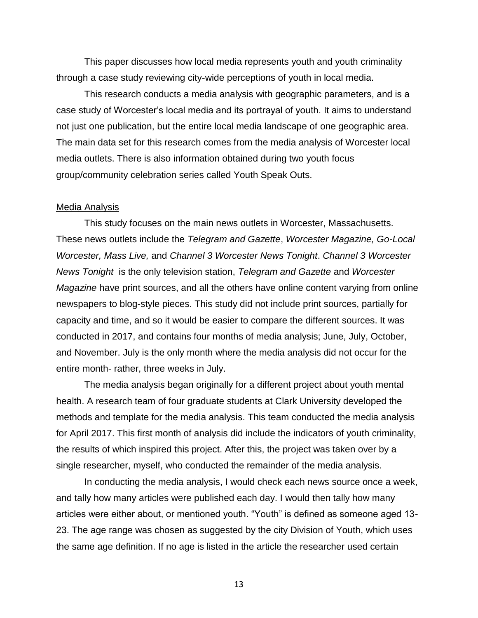This paper discusses how local media represents youth and youth criminality through a case study reviewing city-wide perceptions of youth in local media.

This research conducts a media analysis with geographic parameters, and is a case study of Worcester's local media and its portrayal of youth. It aims to understand not just one publication, but the entire local media landscape of one geographic area. The main data set for this research comes from the media analysis of Worcester local media outlets. There is also information obtained during two youth focus group/community celebration series called Youth Speak Outs.

#### Media Analysis

This study focuses on the main news outlets in Worcester, Massachusetts. These news outlets include the *Telegram and Gazette*, *Worcester Magazine, Go-Local Worcester, Mass Live,* and *Channel 3 Worcester News Tonight*. *Channel 3 Worcester News Tonight* is the only television station, *Telegram and Gazette* and *Worcester Magazine* have print sources, and all the others have online content varying from online newspapers to blog-style pieces. This study did not include print sources, partially for capacity and time, and so it would be easier to compare the different sources. It was conducted in 2017, and contains four months of media analysis; June, July, October, and November. July is the only month where the media analysis did not occur for the entire month- rather, three weeks in July.

The media analysis began originally for a different project about youth mental health. A research team of four graduate students at Clark University developed the methods and template for the media analysis. This team conducted the media analysis for April 2017. This first month of analysis did include the indicators of youth criminality, the results of which inspired this project. After this, the project was taken over by a single researcher, myself, who conducted the remainder of the media analysis.

In conducting the media analysis, I would check each news source once a week, and tally how many articles were published each day. I would then tally how many articles were either about, or mentioned youth. "Youth" is defined as someone aged 13- 23. The age range was chosen as suggested by the city Division of Youth, which uses the same age definition. If no age is listed in the article the researcher used certain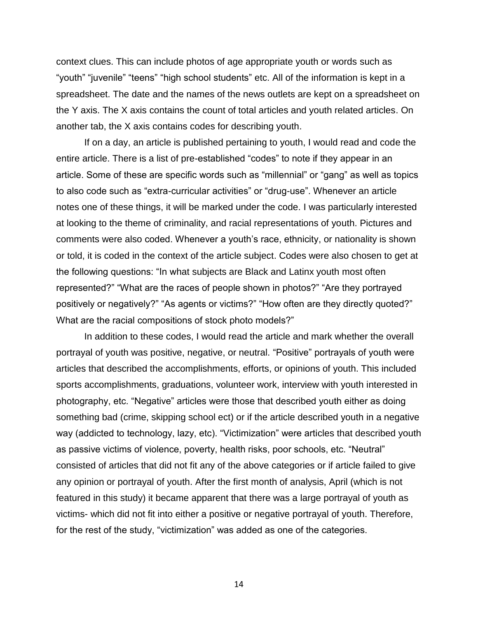context clues. This can include photos of age appropriate youth or words such as "youth" "juvenile" "teens" "high school students" etc. All of the information is kept in a spreadsheet. The date and the names of the news outlets are kept on a spreadsheet on the Y axis. The X axis contains the count of total articles and youth related articles. On another tab, the X axis contains codes for describing youth.

If on a day, an article is published pertaining to youth, I would read and code the entire article. There is a list of pre-established "codes" to note if they appear in an article. Some of these are specific words such as "millennial" or "gang" as well as topics to also code such as "extra-curricular activities" or "drug-use". Whenever an article notes one of these things, it will be marked under the code. I was particularly interested at looking to the theme of criminality, and racial representations of youth. Pictures and comments were also coded. Whenever a youth's race, ethnicity, or nationality is shown or told, it is coded in the context of the article subject. Codes were also chosen to get at the following questions: "In what subjects are Black and Latinx youth most often represented?" "What are the races of people shown in photos?" "Are they portrayed positively or negatively?" "As agents or victims?" "How often are they directly quoted?" What are the racial compositions of stock photo models?"

In addition to these codes, I would read the article and mark whether the overall portrayal of youth was positive, negative, or neutral. "Positive" portrayals of youth were articles that described the accomplishments, efforts, or opinions of youth. This included sports accomplishments, graduations, volunteer work, interview with youth interested in photography, etc. "Negative" articles were those that described youth either as doing something bad (crime, skipping school ect) or if the article described youth in a negative way (addicted to technology, lazy, etc). "Victimization" were articles that described youth as passive victims of violence, poverty, health risks, poor schools, etc. "Neutral" consisted of articles that did not fit any of the above categories or if article failed to give any opinion or portrayal of youth. After the first month of analysis, April (which is not featured in this study) it became apparent that there was a large portrayal of youth as victims- which did not fit into either a positive or negative portrayal of youth. Therefore, for the rest of the study, "victimization" was added as one of the categories.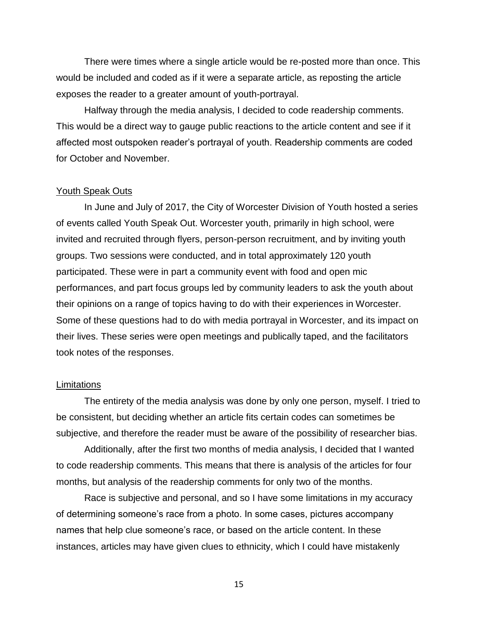There were times where a single article would be re-posted more than once. This would be included and coded as if it were a separate article, as reposting the article exposes the reader to a greater amount of youth-portrayal.

Halfway through the media analysis, I decided to code readership comments. This would be a direct way to gauge public reactions to the article content and see if it affected most outspoken reader's portrayal of youth. Readership comments are coded for October and November.

#### Youth Speak Outs

In June and July of 2017, the City of Worcester Division of Youth hosted a series of events called Youth Speak Out. Worcester youth, primarily in high school, were invited and recruited through flyers, person-person recruitment, and by inviting youth groups. Two sessions were conducted, and in total approximately 120 youth participated. These were in part a community event with food and open mic performances, and part focus groups led by community leaders to ask the youth about their opinions on a range of topics having to do with their experiences in Worcester. Some of these questions had to do with media portrayal in Worcester, and its impact on their lives. These series were open meetings and publically taped, and the facilitators took notes of the responses.

#### **Limitations**

The entirety of the media analysis was done by only one person, myself. I tried to be consistent, but deciding whether an article fits certain codes can sometimes be subjective, and therefore the reader must be aware of the possibility of researcher bias.

Additionally, after the first two months of media analysis, I decided that I wanted to code readership comments. This means that there is analysis of the articles for four months, but analysis of the readership comments for only two of the months.

Race is subjective and personal, and so I have some limitations in my accuracy of determining someone's race from a photo. In some cases, pictures accompany names that help clue someone's race, or based on the article content. In these instances, articles may have given clues to ethnicity, which I could have mistakenly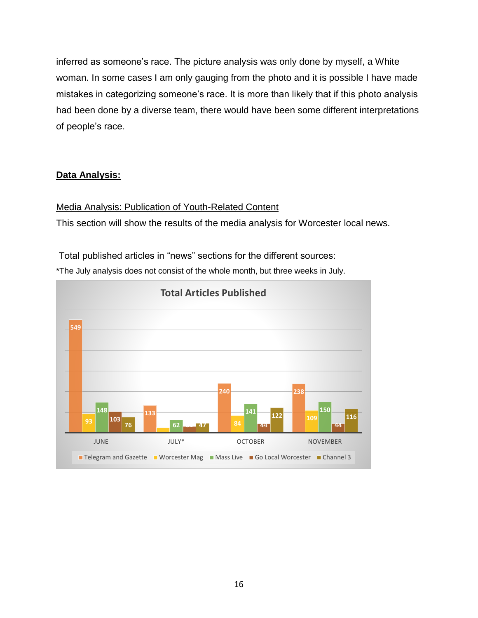inferred as someone's race. The picture analysis was only done by myself, a White woman. In some cases I am only gauging from the photo and it is possible I have made mistakes in categorizing someone's race. It is more than likely that if this photo analysis had been done by a diverse team, there would have been some different interpretations of people's race.

# **Data Analysis:**

# Media Analysis: Publication of Youth-Related Content

This section will show the results of the media analysis for Worcester local news.

Total published articles in "news" sections for the different sources:

\*The July analysis does not consist of the whole month, but three weeks in July.

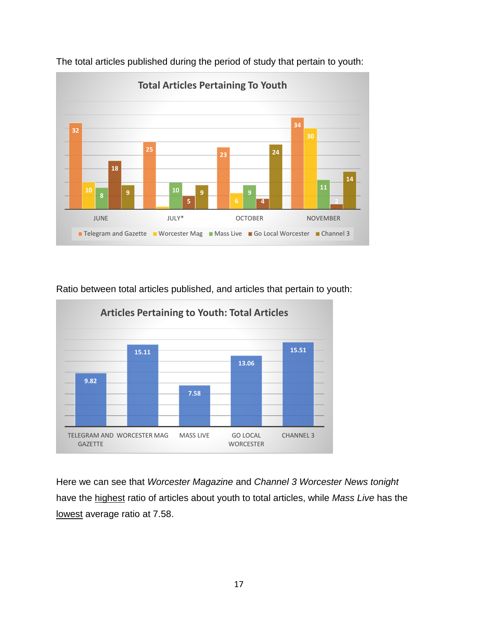

The total articles published during the period of study that pertain to youth:

Ratio between total articles published, and articles that pertain to youth:



Here we can see that *Worcester Magazine* and *Channel 3 Worcester News tonight*  have the highest ratio of articles about youth to total articles, while *Mass Live* has the lowest average ratio at 7.58.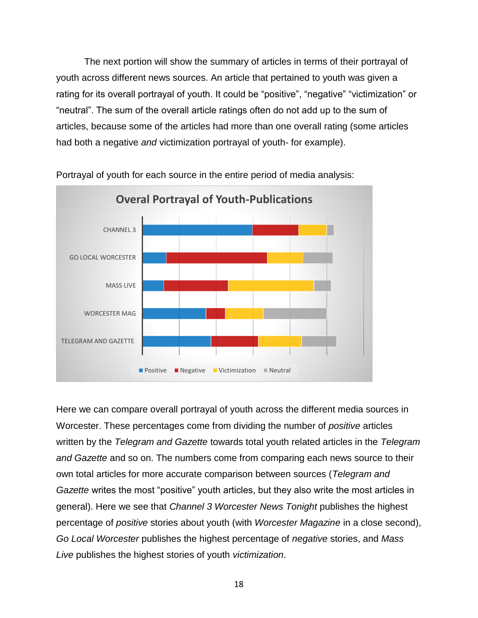The next portion will show the summary of articles in terms of their portrayal of youth across different news sources. An article that pertained to youth was given a rating for its overall portrayal of youth. It could be "positive", "negative" "victimization" or "neutral". The sum of the overall article ratings often do not add up to the sum of articles, because some of the articles had more than one overall rating (some articles had both a negative *and* victimization portrayal of youth- for example).



Portrayal of youth for each source in the entire period of media analysis:

Here we can compare overall portrayal of youth across the different media sources in Worcester. These percentages come from dividing the number of *positive* articles written by the *Telegram and Gazette* towards total youth related articles in the *Telegram and Gazette* and so on. The numbers come from comparing each news source to their own total articles for more accurate comparison between sources (*Telegram and Gazette* writes the most "positive" youth articles, but they also write the most articles in general). Here we see that *Channel 3 Worcester News Tonight* publishes the highest percentage of *positive* stories about youth (with *Worcester Magazine* in a close second), *Go Local Worcester* publishes the highest percentage of *negative* stories, and *Mass Live* publishes the highest stories of youth *victimization*.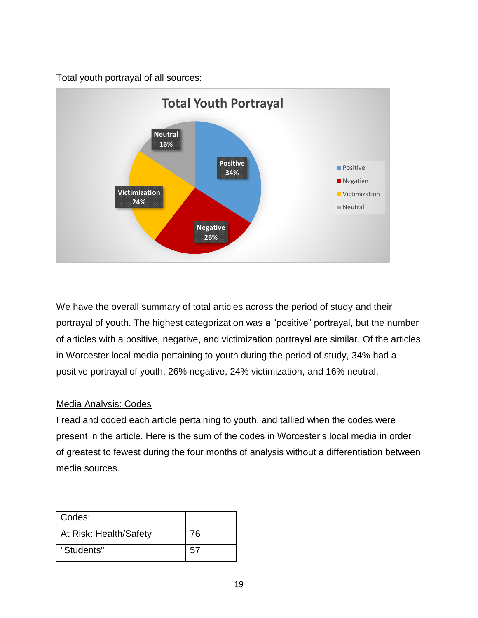Total youth portrayal of all sources:



We have the overall summary of total articles across the period of study and their portrayal of youth. The highest categorization was a "positive" portrayal, but the number of articles with a positive, negative, and victimization portrayal are similar. Of the articles in Worcester local media pertaining to youth during the period of study, 34% had a positive portrayal of youth, 26% negative, 24% victimization, and 16% neutral.

# Media Analysis: Codes

I read and coded each article pertaining to youth, and tallied when the codes were present in the article. Here is the sum of the codes in Worcester's local media in order of greatest to fewest during the four months of analysis without a differentiation between media sources.

| Codes:                 |    |
|------------------------|----|
| At Risk: Health/Safety | 76 |
| "Students"             | 57 |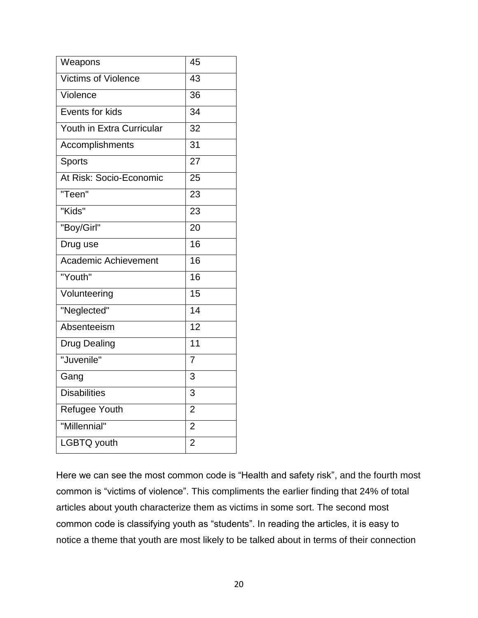| Weapons                     | 45              |
|-----------------------------|-----------------|
| <b>Victims of Violence</b>  | 43              |
| Violence                    | 36              |
| Events for kids             | 34              |
| Youth in Extra Curricular   | 32              |
| Accomplishments             | 31              |
| <b>Sports</b>               | 27              |
| At Risk: Socio-Economic     | 25              |
| "Teen"                      | 23              |
| "Kids"                      | 23              |
| "Boy/Girl"                  | 20              |
| Drug use                    | 16              |
| <b>Academic Achievement</b> | 16              |
| "Youth"                     | 16              |
| Volunteering                | 15              |
| "Neglected"                 | $\overline{14}$ |
| Absenteeism                 | 12              |
| Drug Dealing                | $\overline{11}$ |
| "Juvenile"                  | $\overline{7}$  |
| Gang                        | 3               |
| <b>Disabilities</b>         | 3               |
| <b>Refugee Youth</b>        | $\overline{2}$  |
| "Millennial"                | $\overline{2}$  |
| LGBTQ youth                 | $\overline{2}$  |

Here we can see the most common code is "Health and safety risk", and the fourth most common is "victims of violence". This compliments the earlier finding that 24% of total articles about youth characterize them as victims in some sort. The second most common code is classifying youth as "students". In reading the articles, it is easy to notice a theme that youth are most likely to be talked about in terms of their connection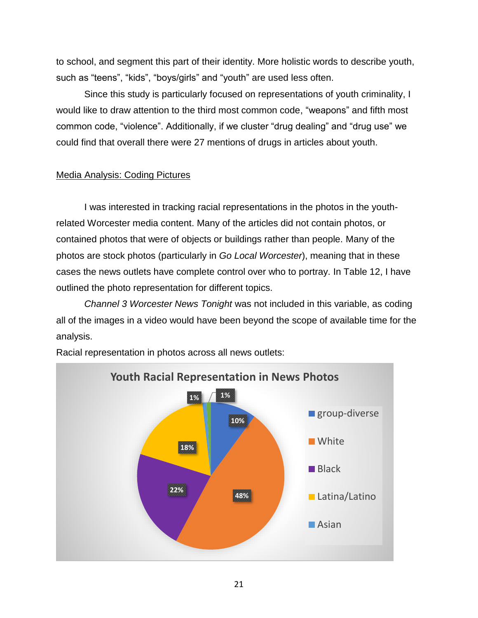to school, and segment this part of their identity. More holistic words to describe youth, such as "teens", "kids", "boys/girls" and "youth" are used less often.

Since this study is particularly focused on representations of youth criminality, I would like to draw attention to the third most common code, "weapons" and fifth most common code, "violence". Additionally, if we cluster "drug dealing" and "drug use" we could find that overall there were 27 mentions of drugs in articles about youth.

# Media Analysis: Coding Pictures

I was interested in tracking racial representations in the photos in the youthrelated Worcester media content. Many of the articles did not contain photos, or contained photos that were of objects or buildings rather than people. Many of the photos are stock photos (particularly in *Go Local Worcester*), meaning that in these cases the news outlets have complete control over who to portray. In Table 12, I have outlined the photo representation for different topics.

*Channel 3 Worcester News Tonight* was not included in this variable, as coding all of the images in a video would have been beyond the scope of available time for the analysis.



Racial representation in photos across all news outlets: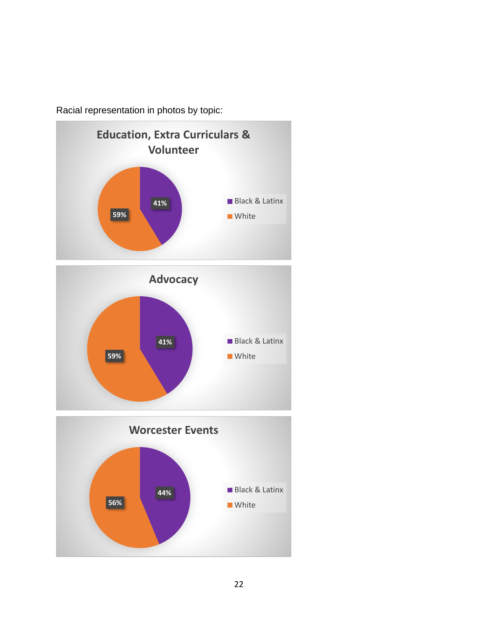

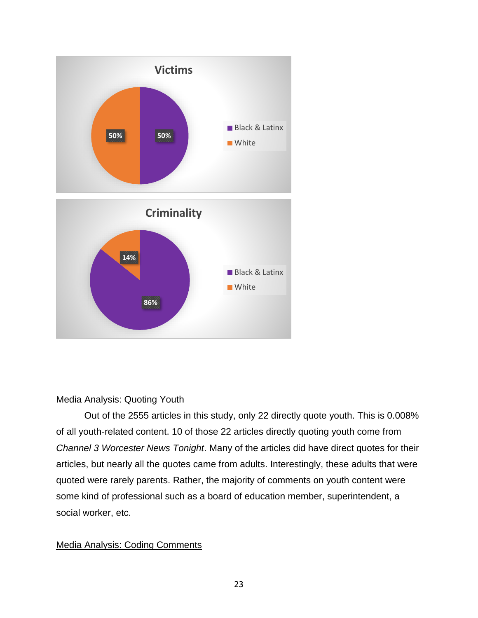

# Media Analysis: Quoting Youth

Out of the 2555 articles in this study, only 22 directly quote youth. This is 0.008% of all youth-related content. 10 of those 22 articles directly quoting youth come from *Channel 3 Worcester News Tonight*. Many of the articles did have direct quotes for their articles, but nearly all the quotes came from adults. Interestingly, these adults that were quoted were rarely parents. Rather, the majority of comments on youth content were some kind of professional such as a board of education member, superintendent, a social worker, etc.

# Media Analysis: Coding Comments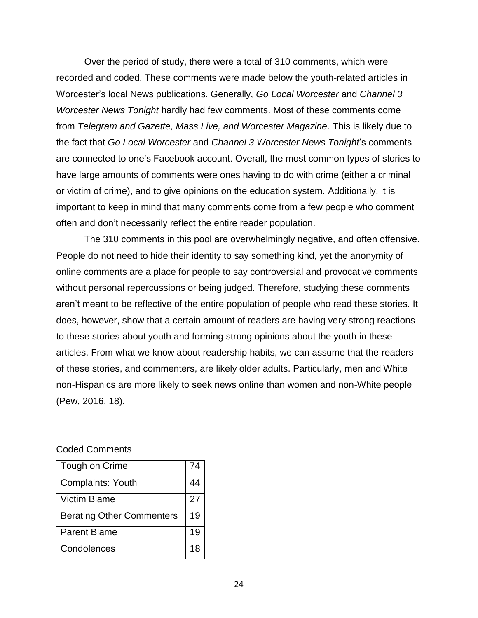Over the period of study, there were a total of 310 comments, which were recorded and coded. These comments were made below the youth-related articles in Worcester's local News publications. Generally, *Go Local Worcester* and *Channel 3 Worcester News Tonight* hardly had few comments. Most of these comments come from *Telegram and Gazette, Mass Live, and Worcester Magazine*. This is likely due to the fact that *Go Local Worcester* and *Channel 3 Worcester News Tonight*'s comments are connected to one's Facebook account. Overall, the most common types of stories to have large amounts of comments were ones having to do with crime (either a criminal or victim of crime), and to give opinions on the education system. Additionally, it is important to keep in mind that many comments come from a few people who comment often and don't necessarily reflect the entire reader population.

The 310 comments in this pool are overwhelmingly negative, and often offensive. People do not need to hide their identity to say something kind, yet the anonymity of online comments are a place for people to say controversial and provocative comments without personal repercussions or being judged. Therefore, studying these comments aren't meant to be reflective of the entire population of people who read these stories. It does, however, show that a certain amount of readers are having very strong reactions to these stories about youth and forming strong opinions about the youth in these articles. From what we know about readership habits, we can assume that the readers of these stories, and commenters, are likely older adults. Particularly, men and White non-Hispanics are more likely to seek news online than women and non-White people (Pew, 2016, 18).

#### Coded Comments

| Tough on Crime                   | 74 |
|----------------------------------|----|
| Complaints: Youth                | 44 |
| <b>Victim Blame</b>              | 27 |
| <b>Berating Other Commenters</b> | 19 |
| <b>Parent Blame</b>              | 19 |
| Condolences                      | 18 |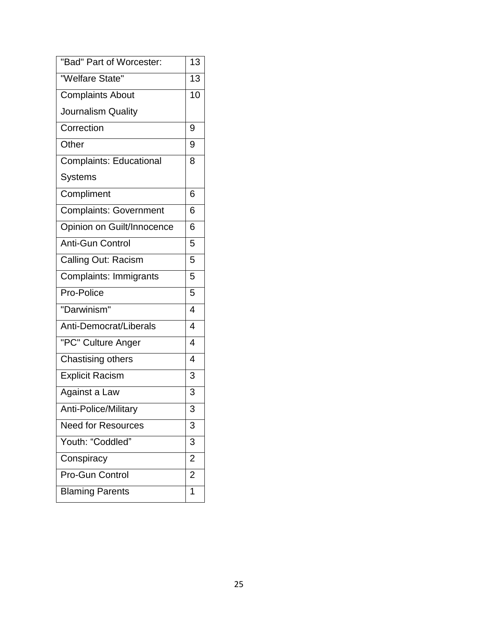| "Bad" Part of Worcester:       | 13                       |
|--------------------------------|--------------------------|
| "Welfare State"                | $\overline{13}$          |
| <b>Complaints About</b>        | 10                       |
| Journalism Quality             |                          |
| Correction                     | 9                        |
| Other                          | 9                        |
| <b>Complaints: Educational</b> | 8                        |
| <b>Systems</b>                 |                          |
| Compliment                     | 6                        |
| <b>Complaints: Government</b>  | 6                        |
| Opinion on Guilt/Innocence     | 6                        |
| <b>Anti-Gun Control</b>        | 5                        |
| Calling Out: Racism            | 5                        |
| <b>Complaints: Immigrants</b>  | 5                        |
| Pro-Police                     | 5                        |
| "Darwinism"                    | 4                        |
| Anti-Democrat/Liberals         | $\overline{\mathcal{L}}$ |
| "PC" Culture Anger             | 4                        |
| Chastising others              | 4                        |
| <b>Explicit Racism</b>         | 3                        |
| Against a Law                  | 3                        |
| <b>Anti-Police/Military</b>    | 3                        |
| <b>Need for Resources</b>      | 3                        |
| Youth: "Coddled"               | 3                        |
| Conspiracy                     | $\overline{2}$           |
| Pro-Gun Control                | $\overline{2}$           |
| <b>Blaming Parents</b>         | 1                        |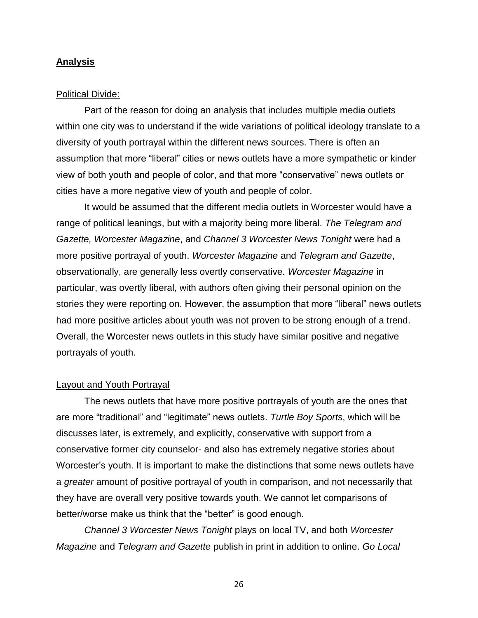#### **Analysis**

#### Political Divide:

Part of the reason for doing an analysis that includes multiple media outlets within one city was to understand if the wide variations of political ideology translate to a diversity of youth portrayal within the different news sources. There is often an assumption that more "liberal" cities or news outlets have a more sympathetic or kinder view of both youth and people of color, and that more "conservative" news outlets or cities have a more negative view of youth and people of color.

It would be assumed that the different media outlets in Worcester would have a range of political leanings, but with a majority being more liberal. *The Telegram and Gazette, Worcester Magazine*, and *Channel 3 Worcester News Tonight* were had a more positive portrayal of youth. *Worcester Magazine* and *Telegram and Gazette*, observationally, are generally less overtly conservative. *Worcester Magazine* in particular, was overtly liberal, with authors often giving their personal opinion on the stories they were reporting on. However, the assumption that more "liberal" news outlets had more positive articles about youth was not proven to be strong enough of a trend. Overall, the Worcester news outlets in this study have similar positive and negative portrayals of youth.

#### Layout and Youth Portrayal

The news outlets that have more positive portrayals of youth are the ones that are more "traditional" and "legitimate" news outlets. *Turtle Boy Sports*, which will be discusses later, is extremely, and explicitly, conservative with support from a conservative former city counselor- and also has extremely negative stories about Worcester's youth. It is important to make the distinctions that some news outlets have a *greater* amount of positive portrayal of youth in comparison, and not necessarily that they have are overall very positive towards youth. We cannot let comparisons of better/worse make us think that the "better" is good enough.

*Channel 3 Worcester News Tonight* plays on local TV, and both *Worcester Magazine* and *Telegram and Gazette* publish in print in addition to online. *Go Local*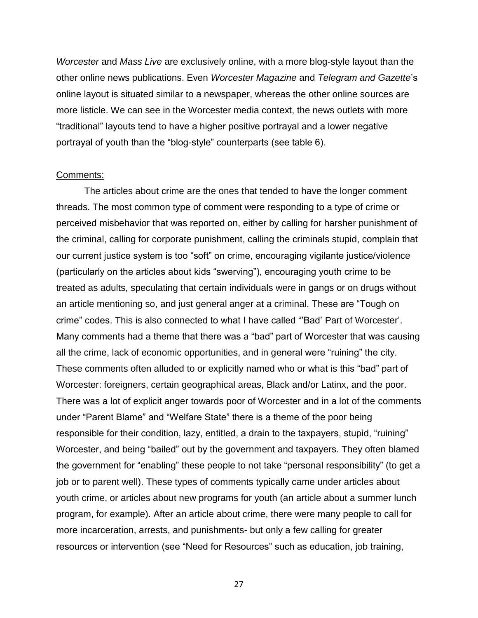*Worcester* and *Mass Live* are exclusively online, with a more blog-style layout than the other online news publications. Even *Worcester Magazine* and *Telegram and Gazette*'s online layout is situated similar to a newspaper, whereas the other online sources are more listicle. We can see in the Worcester media context, the news outlets with more "traditional" layouts tend to have a higher positive portrayal and a lower negative portrayal of youth than the "blog-style" counterparts (see table 6).

#### Comments:

The articles about crime are the ones that tended to have the longer comment threads. The most common type of comment were responding to a type of crime or perceived misbehavior that was reported on, either by calling for harsher punishment of the criminal, calling for corporate punishment, calling the criminals stupid, complain that our current justice system is too "soft" on crime, encouraging vigilante justice/violence (particularly on the articles about kids "swerving"), encouraging youth crime to be treated as adults, speculating that certain individuals were in gangs or on drugs without an article mentioning so, and just general anger at a criminal. These are "Tough on crime" codes. This is also connected to what I have called "'Bad' Part of Worcester'. Many comments had a theme that there was a "bad" part of Worcester that was causing all the crime, lack of economic opportunities, and in general were "ruining" the city. These comments often alluded to or explicitly named who or what is this "bad" part of Worcester: foreigners, certain geographical areas, Black and/or Latinx, and the poor. There was a lot of explicit anger towards poor of Worcester and in a lot of the comments under "Parent Blame" and "Welfare State" there is a theme of the poor being responsible for their condition, lazy, entitled, a drain to the taxpayers, stupid, "ruining" Worcester, and being "bailed" out by the government and taxpayers. They often blamed the government for "enabling" these people to not take "personal responsibility" (to get a job or to parent well). These types of comments typically came under articles about youth crime, or articles about new programs for youth (an article about a summer lunch program, for example). After an article about crime, there were many people to call for more incarceration, arrests, and punishments- but only a few calling for greater resources or intervention (see "Need for Resources" such as education, job training,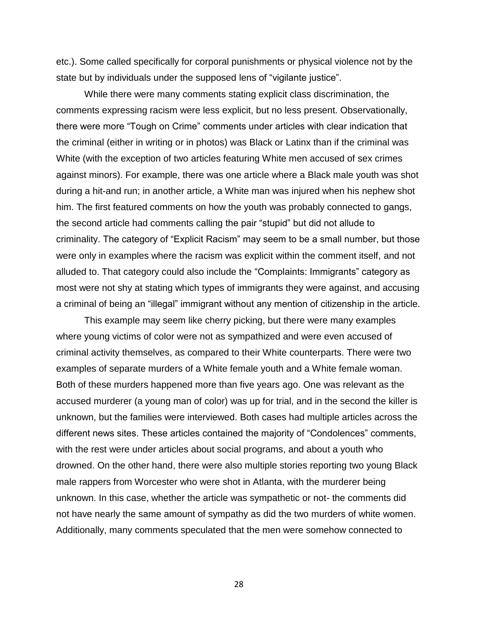etc.). Some called specifically for corporal punishments or physical violence not by the state but by individuals under the supposed lens of "vigilante justice".

While there were many comments stating explicit class discrimination, the comments expressing racism were less explicit, but no less present. Observationally, there were more "Tough on Crime" comments under articles with clear indication that the criminal (either in writing or in photos) was Black or Latinx than if the criminal was White (with the exception of two articles featuring White men accused of sex crimes against minors). For example, there was one article where a Black male youth was shot during a hit-and run; in another article, a White man was injured when his nephew shot him. The first featured comments on how the youth was probably connected to gangs, the second article had comments calling the pair "stupid" but did not allude to criminality. The category of "Explicit Racism" may seem to be a small number, but those were only in examples where the racism was explicit within the comment itself, and not alluded to. That category could also include the "Complaints: Immigrants" category as most were not shy at stating which types of immigrants they were against, and accusing a criminal of being an "illegal" immigrant without any mention of citizenship in the article.

This example may seem like cherry picking, but there were many examples where young victims of color were not as sympathized and were even accused of criminal activity themselves, as compared to their White counterparts. There were two examples of separate murders of a White female youth and a White female woman. Both of these murders happened more than five years ago. One was relevant as the accused murderer (a young man of color) was up for trial, and in the second the killer is unknown, but the families were interviewed. Both cases had multiple articles across the different news sites. These articles contained the majority of "Condolences" comments, with the rest were under articles about social programs, and about a youth who drowned. On the other hand, there were also multiple stories reporting two young Black male rappers from Worcester who were shot in Atlanta, with the murderer being unknown. In this case, whether the article was sympathetic or not- the comments did not have nearly the same amount of sympathy as did the two murders of white women. Additionally, many comments speculated that the men were somehow connected to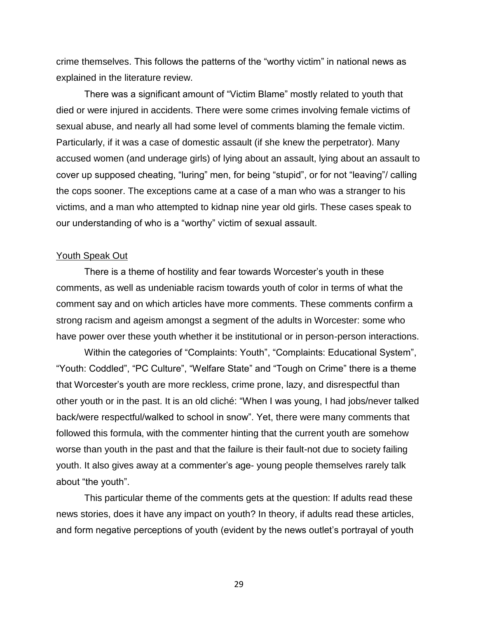crime themselves. This follows the patterns of the "worthy victim" in national news as explained in the literature review.

There was a significant amount of "Victim Blame" mostly related to youth that died or were injured in accidents. There were some crimes involving female victims of sexual abuse, and nearly all had some level of comments blaming the female victim. Particularly, if it was a case of domestic assault (if she knew the perpetrator). Many accused women (and underage girls) of lying about an assault, lying about an assault to cover up supposed cheating, "luring" men, for being "stupid", or for not "leaving"/ calling the cops sooner. The exceptions came at a case of a man who was a stranger to his victims, and a man who attempted to kidnap nine year old girls. These cases speak to our understanding of who is a "worthy" victim of sexual assault.

#### Youth Speak Out

There is a theme of hostility and fear towards Worcester's youth in these comments, as well as undeniable racism towards youth of color in terms of what the comment say and on which articles have more comments. These comments confirm a strong racism and ageism amongst a segment of the adults in Worcester: some who have power over these youth whether it be institutional or in person-person interactions.

Within the categories of "Complaints: Youth", "Complaints: Educational System", "Youth: Coddled", "PC Culture", "Welfare State" and "Tough on Crime" there is a theme that Worcester's youth are more reckless, crime prone, lazy, and disrespectful than other youth or in the past. It is an old cliché: "When I was young, I had jobs/never talked back/were respectful/walked to school in snow". Yet, there were many comments that followed this formula, with the commenter hinting that the current youth are somehow worse than youth in the past and that the failure is their fault-not due to society failing youth. It also gives away at a commenter's age- young people themselves rarely talk about "the youth".

This particular theme of the comments gets at the question: If adults read these news stories, does it have any impact on youth? In theory, if adults read these articles, and form negative perceptions of youth (evident by the news outlet's portrayal of youth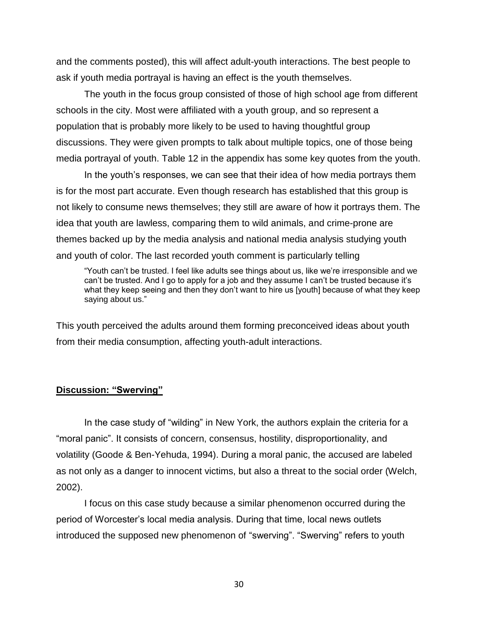and the comments posted), this will affect adult-youth interactions. The best people to ask if youth media portrayal is having an effect is the youth themselves.

The youth in the focus group consisted of those of high school age from different schools in the city. Most were affiliated with a youth group, and so represent a population that is probably more likely to be used to having thoughtful group discussions. They were given prompts to talk about multiple topics, one of those being media portrayal of youth. Table 12 in the appendix has some key quotes from the youth.

In the youth's responses, we can see that their idea of how media portrays them is for the most part accurate. Even though research has established that this group is not likely to consume news themselves; they still are aware of how it portrays them. The idea that youth are lawless, comparing them to wild animals, and crime-prone are themes backed up by the media analysis and national media analysis studying youth and youth of color. The last recorded youth comment is particularly telling

"Youth can't be trusted. I feel like adults see things about us, like we're irresponsible and we can't be trusted. And I go to apply for a job and they assume I can't be trusted because it's what they keep seeing and then they don't want to hire us [youth] because of what they keep saying about us."

This youth perceived the adults around them forming preconceived ideas about youth from their media consumption, affecting youth-adult interactions.

#### **Discussion: "Swerving"**

In the case study of "wilding" in New York, the authors explain the criteria for a "moral panic". It consists of concern, consensus, hostility, disproportionality, and volatility (Goode & Ben-Yehuda, 1994). During a moral panic, the accused are labeled as not only as a danger to innocent victims, but also a threat to the social order (Welch, 2002).

I focus on this case study because a similar phenomenon occurred during the period of Worcester's local media analysis. During that time, local news outlets introduced the supposed new phenomenon of "swerving". "Swerving" refers to youth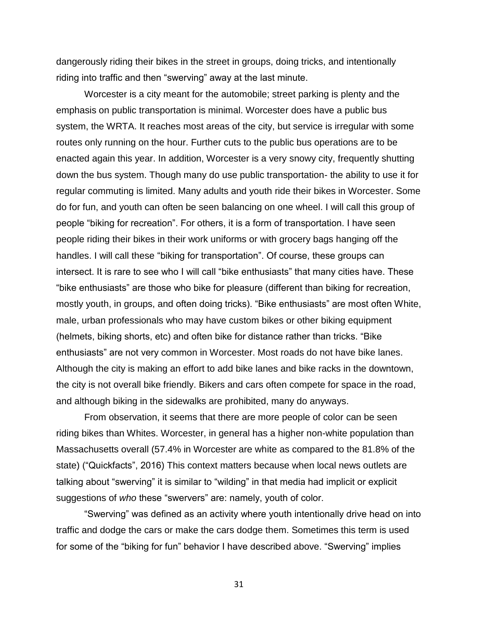dangerously riding their bikes in the street in groups, doing tricks, and intentionally riding into traffic and then "swerving" away at the last minute.

Worcester is a city meant for the automobile; street parking is plenty and the emphasis on public transportation is minimal. Worcester does have a public bus system, the WRTA. It reaches most areas of the city, but service is irregular with some routes only running on the hour. Further cuts to the public bus operations are to be enacted again this year. In addition, Worcester is a very snowy city, frequently shutting down the bus system. Though many do use public transportation- the ability to use it for regular commuting is limited. Many adults and youth ride their bikes in Worcester. Some do for fun, and youth can often be seen balancing on one wheel. I will call this group of people "biking for recreation". For others, it is a form of transportation. I have seen people riding their bikes in their work uniforms or with grocery bags hanging off the handles. I will call these "biking for transportation". Of course, these groups can intersect. It is rare to see who I will call "bike enthusiasts" that many cities have. These "bike enthusiasts" are those who bike for pleasure (different than biking for recreation, mostly youth, in groups, and often doing tricks). "Bike enthusiasts" are most often White, male, urban professionals who may have custom bikes or other biking equipment (helmets, biking shorts, etc) and often bike for distance rather than tricks. "Bike enthusiasts" are not very common in Worcester. Most roads do not have bike lanes. Although the city is making an effort to add bike lanes and bike racks in the downtown, the city is not overall bike friendly. Bikers and cars often compete for space in the road, and although biking in the sidewalks are prohibited, many do anyways.

From observation, it seems that there are more people of color can be seen riding bikes than Whites. Worcester, in general has a higher non-white population than Massachusetts overall (57.4% in Worcester are white as compared to the 81.8% of the state) ("Quickfacts", 2016) This context matters because when local news outlets are talking about "swerving" it is similar to "wilding" in that media had implicit or explicit suggestions of *who* these "swervers" are: namely, youth of color.

"Swerving" was defined as an activity where youth intentionally drive head on into traffic and dodge the cars or make the cars dodge them. Sometimes this term is used for some of the "biking for fun" behavior I have described above. "Swerving" implies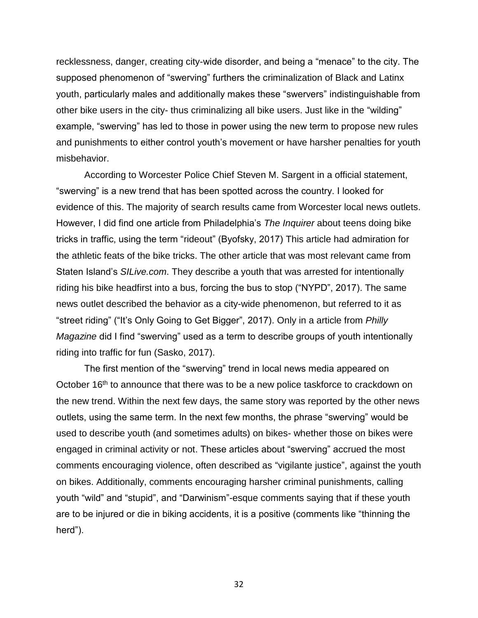recklessness, danger, creating city-wide disorder, and being a "menace" to the city. The supposed phenomenon of "swerving" furthers the criminalization of Black and Latinx youth, particularly males and additionally makes these "swervers" indistinguishable from other bike users in the city- thus criminalizing all bike users. Just like in the "wilding" example, "swerving" has led to those in power using the new term to propose new rules and punishments to either control youth's movement or have harsher penalties for youth misbehavior.

According to Worcester Police Chief Steven M. Sargent in a official statement, "swerving" is a new trend that has been spotted across the country. I looked for evidence of this. The majority of search results came from Worcester local news outlets. However, I did find one article from Philadelphia's *The Inquirer* about teens doing bike tricks in traffic, using the term "rideout" (Byofsky, 2017) This article had admiration for the athletic feats of the bike tricks. The other article that was most relevant came from Staten Island's *SILive.com*. They describe a youth that was arrested for intentionally riding his bike headfirst into a bus, forcing the bus to stop ("NYPD", 2017). The same news outlet described the behavior as a city-wide phenomenon, but referred to it as "street riding" ("It's Only Going to Get Bigger", 2017). Only in a article from *Philly Magazine* did I find "swerving" used as a term to describe groups of youth intentionally riding into traffic for fun (Sasko, 2017).

The first mention of the "swerving" trend in local news media appeared on October 16<sup>th</sup> to announce that there was to be a new police taskforce to crackdown on the new trend. Within the next few days, the same story was reported by the other news outlets, using the same term. In the next few months, the phrase "swerving" would be used to describe youth (and sometimes adults) on bikes- whether those on bikes were engaged in criminal activity or not. These articles about "swerving" accrued the most comments encouraging violence, often described as "vigilante justice", against the youth on bikes. Additionally, comments encouraging harsher criminal punishments, calling youth "wild" and "stupid", and "Darwinism"-esque comments saying that if these youth are to be injured or die in biking accidents, it is a positive (comments like "thinning the herd").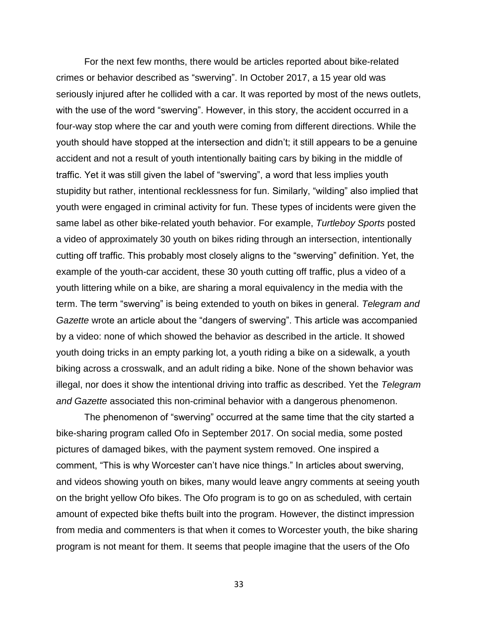For the next few months, there would be articles reported about bike-related crimes or behavior described as "swerving". In October 2017, a 15 year old was seriously injured after he collided with a car. It was reported by most of the news outlets, with the use of the word "swerving". However, in this story, the accident occurred in a four-way stop where the car and youth were coming from different directions. While the youth should have stopped at the intersection and didn't; it still appears to be a genuine accident and not a result of youth intentionally baiting cars by biking in the middle of traffic. Yet it was still given the label of "swerving", a word that less implies youth stupidity but rather, intentional recklessness for fun. Similarly, "wilding" also implied that youth were engaged in criminal activity for fun. These types of incidents were given the same label as other bike-related youth behavior. For example, *Turtleboy Sports* posted a video of approximately 30 youth on bikes riding through an intersection, intentionally cutting off traffic. This probably most closely aligns to the "swerving" definition. Yet, the example of the youth-car accident, these 30 youth cutting off traffic, plus a video of a youth littering while on a bike, are sharing a moral equivalency in the media with the term. The term "swerving" is being extended to youth on bikes in general. *Telegram and Gazette* wrote an article about the "dangers of swerving". This article was accompanied by a video: none of which showed the behavior as described in the article. It showed youth doing tricks in an empty parking lot, a youth riding a bike on a sidewalk, a youth biking across a crosswalk, and an adult riding a bike. None of the shown behavior was illegal, nor does it show the intentional driving into traffic as described. Yet the *Telegram and Gazette* associated this non-criminal behavior with a dangerous phenomenon.

The phenomenon of "swerving" occurred at the same time that the city started a bike-sharing program called Ofo in September 2017. On social media, some posted pictures of damaged bikes, with the payment system removed. One inspired a comment, "This is why Worcester can't have nice things." In articles about swerving, and videos showing youth on bikes, many would leave angry comments at seeing youth on the bright yellow Ofo bikes. The Ofo program is to go on as scheduled, with certain amount of expected bike thefts built into the program. However, the distinct impression from media and commenters is that when it comes to Worcester youth, the bike sharing program is not meant for them. It seems that people imagine that the users of the Ofo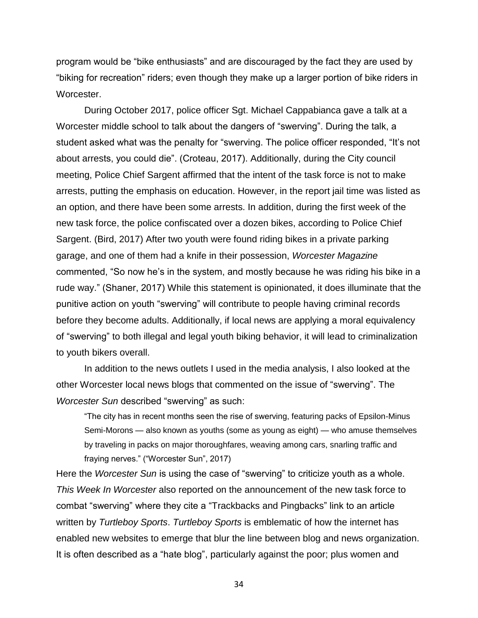program would be "bike enthusiasts" and are discouraged by the fact they are used by "biking for recreation" riders; even though they make up a larger portion of bike riders in Worcester.

During October 2017, police officer Sgt. Michael Cappabianca gave a talk at a Worcester middle school to talk about the dangers of "swerving". During the talk, a student asked what was the penalty for "swerving. The police officer responded, "It's not about arrests, you could die". (Croteau, 2017). Additionally, during the City council meeting, Police Chief Sargent affirmed that the intent of the task force is not to make arrests, putting the emphasis on education. However, in the report jail time was listed as an option, and there have been some arrests. In addition, during the first week of the new task force, the police confiscated over a dozen bikes, according to Police Chief Sargent. (Bird, 2017) After two youth were found riding bikes in a private parking garage, and one of them had a knife in their possession, *Worcester Magazine* commented, "So now he's in the system, and mostly because he was riding his bike in a rude way." (Shaner, 2017) While this statement is opinionated, it does illuminate that the punitive action on youth "swerving" will contribute to people having criminal records before they become adults. Additionally, if local news are applying a moral equivalency of "swerving" to both illegal and legal youth biking behavior, it will lead to criminalization to youth bikers overall.

In addition to the news outlets I used in the media analysis, I also looked at the other Worcester local news blogs that commented on the issue of "swerving". The *Worcester Sun* described "swerving" as such:

"The city has in recent months seen the rise of swerving, featuring packs of Epsilon-Minus Semi-Morons — also known as youths (some as young as eight) — who amuse themselves by traveling in packs on major thoroughfares, weaving among cars, snarling traffic and fraying nerves." ("Worcester Sun", 2017)

Here the *Worcester Sun* is using the case of "swerving" to criticize youth as a whole. *This Week In Worcester* also reported on the announcement of the new task force to combat "swerving" where they cite a "Trackbacks and Pingbacks" link to an article written by *Turtleboy Sports*. *Turtleboy Sports* is emblematic of how the internet has enabled new websites to emerge that blur the line between blog and news organization. It is often described as a "hate blog", particularly against the poor; plus women and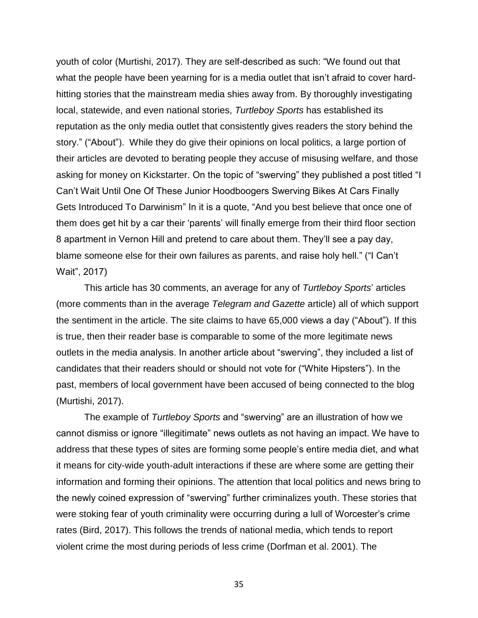youth of color (Murtishi, 2017). They are self-described as such: "We found out that what the people have been yearning for is a media outlet that isn't afraid to cover hardhitting stories that the mainstream media shies away from. By thoroughly investigating local, statewide, and even national stories, *Turtleboy Sports* has established its reputation as the only media outlet that consistently gives readers the story behind the story." ("About"). While they do give their opinions on local politics, a large portion of their articles are devoted to berating people they accuse of misusing welfare, and those asking for money on Kickstarter. On the topic of "swerving" they published a post titled "I Can't Wait Until One Of These Junior Hoodboogers Swerving Bikes At Cars Finally Gets Introduced To Darwinism" In it is a quote, "And you best believe that once one of them does get hit by a car their 'parents' will finally emerge from their third floor section 8 apartment in Vernon Hill and pretend to care about them. They'll see a pay day, blame someone else for their own failures as parents, and raise holy hell." ("I Can't Wait", 2017)

This article has 30 comments, an average for any of *Turtleboy Sports*' articles (more comments than in the average *Telegram and Gazette* article) all of which support the sentiment in the article. The site claims to have 65,000 views a day ("About"). If this is true, then their reader base is comparable to some of the more legitimate news outlets in the media analysis. In another article about "swerving", they included a list of candidates that their readers should or should not vote for ("White Hipsters"). In the past, members of local government have been accused of being connected to the blog (Murtishi, 2017).

The example of *Turtleboy Sports* and "swerving" are an illustration of how we cannot dismiss or ignore "illegitimate" news outlets as not having an impact. We have to address that these types of sites are forming some people's entire media diet, and what it means for city-wide youth-adult interactions if these are where some are getting their information and forming their opinions. The attention that local politics and news bring to the newly coined expression of "swerving" further criminalizes youth. These stories that were stoking fear of youth criminality were occurring during a lull of Worcester's crime rates (Bird, 2017). This follows the trends of national media, which tends to report violent crime the most during periods of less crime (Dorfman et al. 2001). The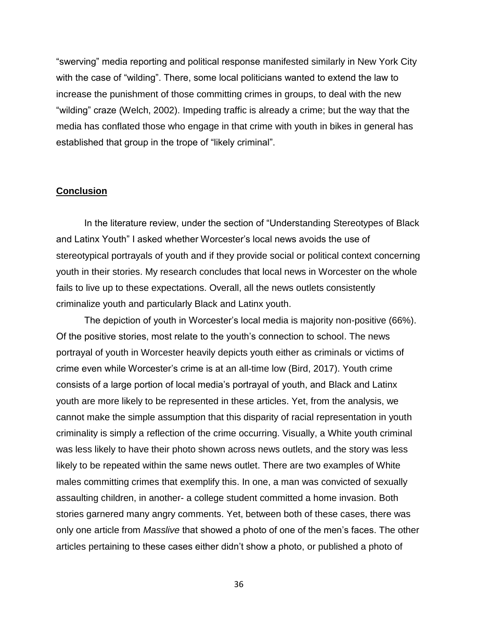"swerving" media reporting and political response manifested similarly in New York City with the case of "wilding". There, some local politicians wanted to extend the law to increase the punishment of those committing crimes in groups, to deal with the new "wilding" craze (Welch, 2002). Impeding traffic is already a crime; but the way that the media has conflated those who engage in that crime with youth in bikes in general has established that group in the trope of "likely criminal".

#### **Conclusion**

In the literature review, under the section of "Understanding Stereotypes of Black and Latinx Youth" I asked whether Worcester's local news avoids the use of stereotypical portrayals of youth and if they provide social or political context concerning youth in their stories. My research concludes that local news in Worcester on the whole fails to live up to these expectations. Overall, all the news outlets consistently criminalize youth and particularly Black and Latinx youth.

The depiction of youth in Worcester's local media is majority non-positive (66%). Of the positive stories, most relate to the youth's connection to school. The news portrayal of youth in Worcester heavily depicts youth either as criminals or victims of crime even while Worcester's crime is at an all-time low (Bird, 2017). Youth crime consists of a large portion of local media's portrayal of youth, and Black and Latinx youth are more likely to be represented in these articles. Yet, from the analysis, we cannot make the simple assumption that this disparity of racial representation in youth criminality is simply a reflection of the crime occurring. Visually, a White youth criminal was less likely to have their photo shown across news outlets, and the story was less likely to be repeated within the same news outlet. There are two examples of White males committing crimes that exemplify this. In one, a man was convicted of sexually assaulting children, in another- a college student committed a home invasion. Both stories garnered many angry comments. Yet, between both of these cases, there was only one article from *Masslive* that showed a photo of one of the men's faces. The other articles pertaining to these cases either didn't show a photo, or published a photo of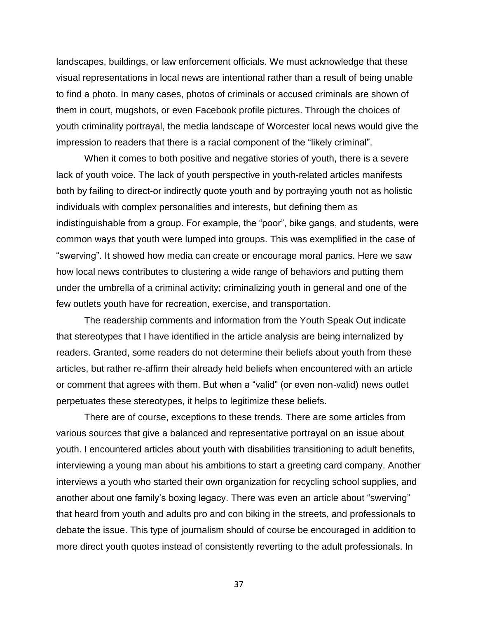landscapes, buildings, or law enforcement officials. We must acknowledge that these visual representations in local news are intentional rather than a result of being unable to find a photo. In many cases, photos of criminals or accused criminals are shown of them in court, mugshots, or even Facebook profile pictures. Through the choices of youth criminality portrayal, the media landscape of Worcester local news would give the impression to readers that there is a racial component of the "likely criminal".

When it comes to both positive and negative stories of youth, there is a severe lack of youth voice. The lack of youth perspective in youth-related articles manifests both by failing to direct-or indirectly quote youth and by portraying youth not as holistic individuals with complex personalities and interests, but defining them as indistinguishable from a group. For example, the "poor", bike gangs, and students, were common ways that youth were lumped into groups. This was exemplified in the case of "swerving". It showed how media can create or encourage moral panics. Here we saw how local news contributes to clustering a wide range of behaviors and putting them under the umbrella of a criminal activity; criminalizing youth in general and one of the few outlets youth have for recreation, exercise, and transportation.

The readership comments and information from the Youth Speak Out indicate that stereotypes that I have identified in the article analysis are being internalized by readers. Granted, some readers do not determine their beliefs about youth from these articles, but rather re-affirm their already held beliefs when encountered with an article or comment that agrees with them. But when a "valid" (or even non-valid) news outlet perpetuates these stereotypes, it helps to legitimize these beliefs.

There are of course, exceptions to these trends. There are some articles from various sources that give a balanced and representative portrayal on an issue about youth. I encountered articles about youth with disabilities transitioning to adult benefits, interviewing a young man about his ambitions to start a greeting card company. Another interviews a youth who started their own organization for recycling school supplies, and another about one family's boxing legacy. There was even an article about "swerving" that heard from youth and adults pro and con biking in the streets, and professionals to debate the issue. This type of journalism should of course be encouraged in addition to more direct youth quotes instead of consistently reverting to the adult professionals. In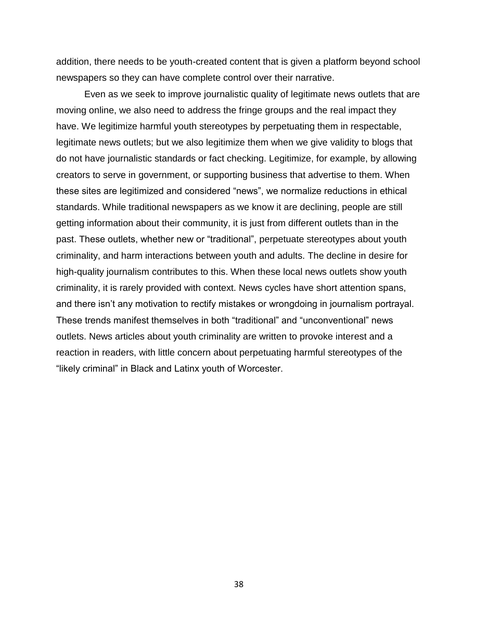addition, there needs to be youth-created content that is given a platform beyond school newspapers so they can have complete control over their narrative.

Even as we seek to improve journalistic quality of legitimate news outlets that are moving online, we also need to address the fringe groups and the real impact they have. We legitimize harmful youth stereotypes by perpetuating them in respectable, legitimate news outlets; but we also legitimize them when we give validity to blogs that do not have journalistic standards or fact checking. Legitimize, for example, by allowing creators to serve in government, or supporting business that advertise to them. When these sites are legitimized and considered "news", we normalize reductions in ethical standards. While traditional newspapers as we know it are declining, people are still getting information about their community, it is just from different outlets than in the past. These outlets, whether new or "traditional", perpetuate stereotypes about youth criminality, and harm interactions between youth and adults. The decline in desire for high-quality journalism contributes to this. When these local news outlets show youth criminality, it is rarely provided with context. News cycles have short attention spans, and there isn't any motivation to rectify mistakes or wrongdoing in journalism portrayal. These trends manifest themselves in both "traditional" and "unconventional" news outlets. News articles about youth criminality are written to provoke interest and a reaction in readers, with little concern about perpetuating harmful stereotypes of the "likely criminal" in Black and Latinx youth of Worcester.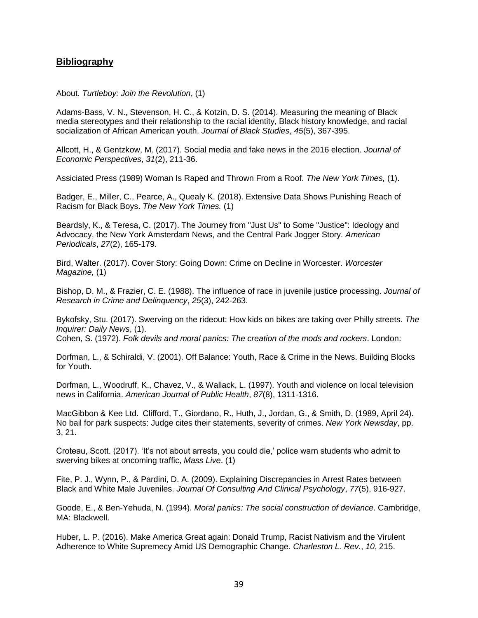# **Bibliography**

About. *Turtleboy: Join the Revolution*, (1)

Adams-Bass, V. N., Stevenson, H. C., & Kotzin, D. S. (2014). Measuring the meaning of Black media stereotypes and their relationship to the racial identity, Black history knowledge, and racial socialization of African American youth. *Journal of Black Studies*, *45*(5), 367-395.

Allcott, H., & Gentzkow, M. (2017). Social media and fake news in the 2016 election. *Journal of Economic Perspectives*, *31*(2), 211-36.

Assiciated Press (1989) Woman Is Raped and Thrown From a Roof. *The New York Times,* (1).

Badger, E., Miller, C., Pearce, A., Quealy K. (2018). Extensive Data Shows Punishing Reach of Racism for Black Boys. *The New York Times.* (1)

Beardsly, K., & Teresa, C. (2017). The Journey from "Just Us" to Some "Justice": Ideology and Advocacy, the New York Amsterdam News, and the Central Park Jogger Story. *American Periodicals*, *27*(2), 165-179.

Bird, Walter. (2017). Cover Story: Going Down: Crime on Decline in Worcester. *Worcester Magazine,* (1)

Bishop, D. M., & Frazier, C. E. (1988). The influence of race in juvenile justice processing. *Journal of Research in Crime and Delinquency*, *25*(3), 242-263.

Bykofsky, Stu. (2017). Swerving on the rideout: How kids on bikes are taking over Philly streets. *The Inquirer: Daily News*, (1).

Cohen, S. (1972). *Folk devils and moral panics: The creation of the mods and rockers*. London:

Dorfman, L., & Schiraldi, V. (2001). Off Balance: Youth, Race & Crime in the News. Building Blocks for Youth.

Dorfman, L., Woodruff, K., Chavez, V., & Wallack, L. (1997). Youth and violence on local television news in California. *American Journal of Public Health*, *87*(8), 1311-1316.

MacGibbon & Kee Ltd. Clifford, T., Giordano, R., Huth, J., Jordan, G., & Smith, D. (1989, April 24). No bail for park suspects: Judge cites their statements, severity of crimes. *New York Newsday*, pp. 3, 21.

Croteau, Scott. (2017). 'It's not about arrests, you could die,' police warn students who admit to swerving bikes at oncoming traffic, *Mass Live*. (1)

Fite, P. J., Wynn, P., & Pardini, D. A. (2009). Explaining Discrepancies in Arrest Rates between Black and White Male Juveniles. *Journal Of Consulting And Clinical Psychology*, *77*(5), 916-927.

Goode, E., & Ben-Yehuda, N. (1994). *Moral panics: The social construction of deviance*. Cambridge, MA: Blackwell.

Huber, L. P. (2016). Make America Great again: Donald Trump, Racist Nativism and the Virulent Adherence to White Supremecy Amid US Demographic Change. *Charleston L. Rev.*, *10*, 215.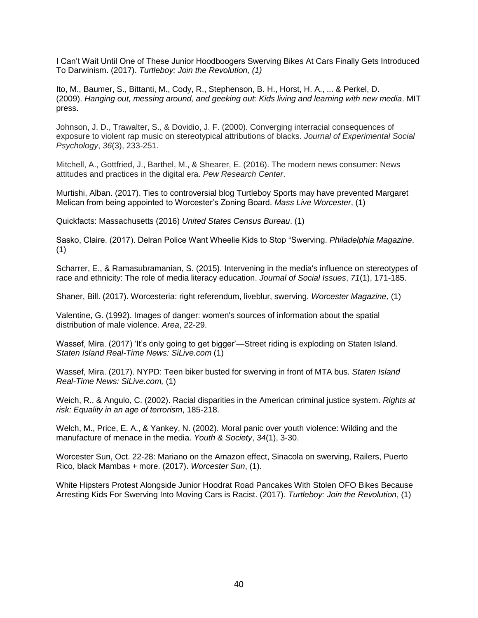I Can't Wait Until One of These Junior Hoodboogers Swerving Bikes At Cars Finally Gets Introduced To Darwinism. (2017). *Turtleboy: Join the Revolution, (1)*

Ito, M., Baumer, S., Bittanti, M., Cody, R., Stephenson, B. H., Horst, H. A., ... & Perkel, D. (2009). *Hanging out, messing around, and geeking out: Kids living and learning with new media*. MIT press.

Johnson, J. D., Trawalter, S., & Dovidio, J. F. (2000). Converging interracial consequences of exposure to violent rap music on stereotypical attributions of blacks. *Journal of Experimental Social Psychology*, *36*(3), 233-251.

Mitchell, A., Gottfried, J., Barthel, M., & Shearer, E. (2016). The modern news consumer: News attitudes and practices in the digital era. *Pew Research Center*.

Murtishi, Alban. (2017). Ties to controversial blog Turtleboy Sports may have prevented Margaret Melican from being appointed to Worcester's Zoning Board. *Mass Live Worcester*, (1)

Quickfacts: Massachusetts (2016) *United States Census Bureau*. (1)

Sasko, Claire. (2017). Delran Police Want Wheelie Kids to Stop "Swerving. *Philadelphia Magazine*. (1)

Scharrer, E., & Ramasubramanian, S. (2015). Intervening in the media's influence on stereotypes of race and ethnicity: The role of media literacy education. *Journal of Social Issues*, *71*(1), 171-185.

Shaner, Bill. (2017). Worcesteria: right referendum, liveblur, swerving. *Worcester Magazine,* (1)

Valentine, G. (1992). Images of danger: women's sources of information about the spatial distribution of male violence. *Area*, 22-29.

Wassef, Mira. (2017) 'It's only going to get bigger'—Street riding is exploding on Staten Island. *Staten Island Real-Time News: SiLive.com* (1)

Wassef, Mira. (2017). NYPD: Teen biker busted for swerving in front of MTA bus. *Staten Island Real-Time News: SiLive.com,* (1)

Weich, R., & Angulo, C. (2002). Racial disparities in the American criminal justice system. *Rights at risk: Equality in an age of terrorism*, 185-218.

Welch, M., Price, E. A., & Yankey, N. (2002). Moral panic over youth violence: Wilding and the manufacture of menace in the media. *Youth & Society*, *34*(1), 3-30.

Worcester Sun, Oct. 22-28: Mariano on the Amazon effect, Sinacola on swerving, Railers, Puerto Rico, black Mambas + more. (2017). *Worcester Sun*, (1).

White Hipsters Protest Alongside Junior Hoodrat Road Pancakes With Stolen OFO Bikes Because Arresting Kids For Swerving Into Moving Cars is Racist. (2017). *Turtleboy: Join the Revolution*, (1)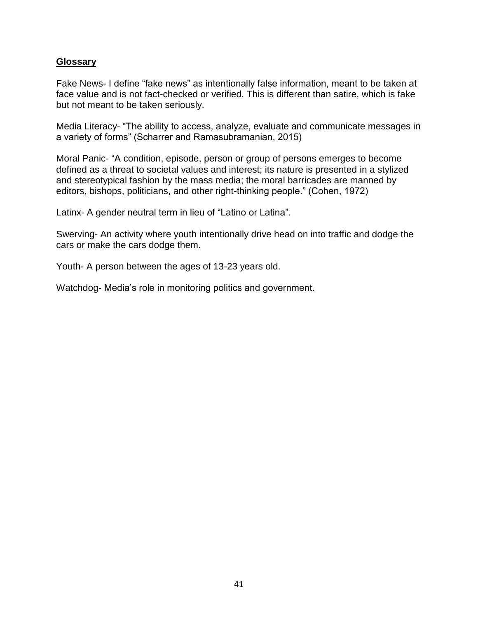# **Glossary**

Fake News- I define "fake news" as intentionally false information, meant to be taken at face value and is not fact-checked or verified. This is different than satire, which is fake but not meant to be taken seriously.

Media Literacy- "The ability to access, analyze, evaluate and communicate messages in a variety of forms" (Scharrer and Ramasubramanian, 2015)

Moral Panic- "A condition, episode, person or group of persons emerges to become defined as a threat to societal values and interest; its nature is presented in a stylized and stereotypical fashion by the mass media; the moral barricades are manned by editors, bishops, politicians, and other right-thinking people." (Cohen, 1972)

Latinx- A gender neutral term in lieu of "Latino or Latina".

Swerving- An activity where youth intentionally drive head on into traffic and dodge the cars or make the cars dodge them.

Youth- A person between the ages of 13-23 years old.

Watchdog- Media's role in monitoring politics and government.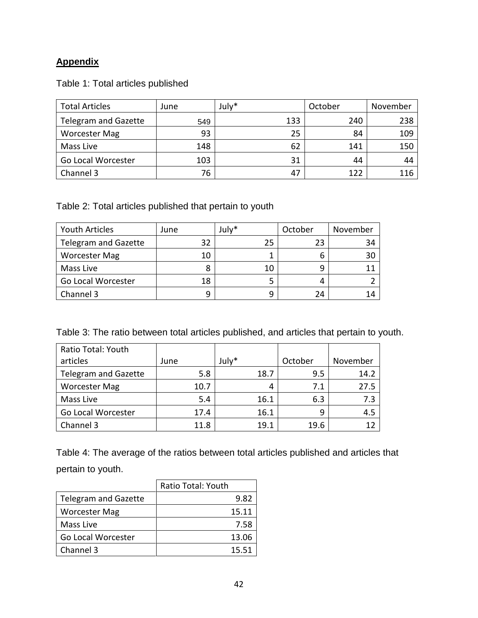# **Appendix**

|  |  | Table 1: Total articles published |
|--|--|-----------------------------------|
|  |  |                                   |

| <b>Total Articles</b>       | June | July* | October | November |
|-----------------------------|------|-------|---------|----------|
| <b>Telegram and Gazette</b> | 549  | 133   | 240     | 238      |
| <b>Worcester Mag</b>        | 93   | 25    | 84      | 109      |
| Mass Live                   | 148  | 62    | 141     | 150      |
| Go Local Worcester          | 103  | 31    | 44      | 44       |
| Channel 3                   | 76   | 47    | 122     | 116      |

Table 2: Total articles published that pertain to youth

| Youth Articles              | June | July* | October | November |
|-----------------------------|------|-------|---------|----------|
| <b>Telegram and Gazette</b> | 32   | 25    | 23      | 34       |
| <b>Worcester Mag</b>        | 10   |       |         |          |
| Mass Live                   |      |       |         |          |
| Go Local Worcester          | 18   |       |         |          |
| Channel 3                   | q    |       | 24      |          |

|  |  | Table 3: The ratio between total articles published, and articles that pertain to youth. |  |
|--|--|------------------------------------------------------------------------------------------|--|
|--|--|------------------------------------------------------------------------------------------|--|

| Ratio Total: Youth          |      |       |         |          |
|-----------------------------|------|-------|---------|----------|
| articles                    | June | July* | October | November |
| <b>Telegram and Gazette</b> | 5.8  | 18.7  | 9.5     | 14.2     |
| <b>Worcester Mag</b>        | 10.7 | 4     | 7.1     | 27.5     |
| Mass Live                   | 5.4  | 16.1  | 6.3     | 7.3      |
| Go Local Worcester          | 17.4 | 16.1  | q       | 4.5      |
| Channel 3                   | 11.8 | 19.1  | 19.6    | 12       |

Table 4: The average of the ratios between total articles published and articles that pertain to youth.

|                             | Ratio Total: Youth |
|-----------------------------|--------------------|
| <b>Telegram and Gazette</b> | 9.82               |
| <b>Worcester Mag</b>        | 15.11              |
| Mass Live                   | 7.58               |
| Go Local Worcester          | 13.06              |
| Channel 3                   | 15.51              |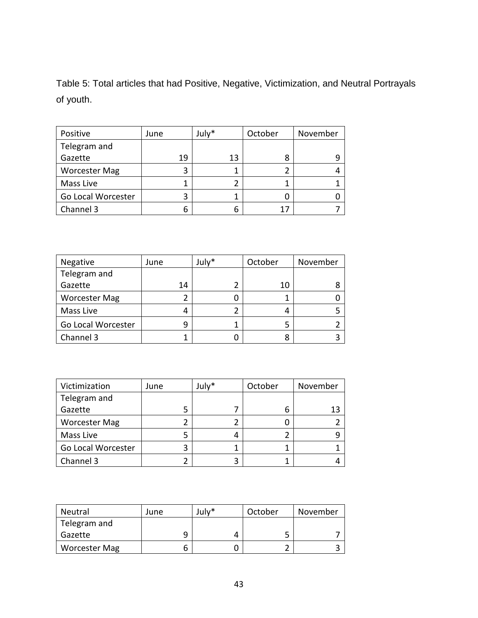Table 5: Total articles that had Positive, Negative, Victimization, and Neutral Portrayals of youth.

| Positive             | June | July* | October | November |
|----------------------|------|-------|---------|----------|
| Telegram and         |      |       |         |          |
| Gazette              | 19   | 13    | 8       |          |
| <b>Worcester Mag</b> |      |       |         |          |
| Mass Live            |      |       |         |          |
| Go Local Worcester   |      |       |         |          |
| Channel 3            | h    |       |         |          |

| Negative             | June | July* | October | November |
|----------------------|------|-------|---------|----------|
| Telegram and         |      |       |         |          |
| Gazette              | 14   |       | 10      |          |
| <b>Worcester Mag</b> |      |       |         |          |
| Mass Live            |      |       | 4       |          |
| Go Local Worcester   | g    |       | 5       |          |
| Channel 3            |      |       | 8       |          |

| Victimization        | June | July* | October | November |
|----------------------|------|-------|---------|----------|
| Telegram and         |      |       |         |          |
| Gazette              |      |       | b       | 13       |
| <b>Worcester Mag</b> |      |       |         |          |
| Mass Live            |      |       |         |          |
| Go Local Worcester   |      |       |         |          |
| Channel 3            |      | 3     |         |          |

| <b>Neutral</b>       | June | July* | October | November |
|----------------------|------|-------|---------|----------|
| Telegram and         |      |       |         |          |
| Gazette              |      |       |         |          |
| <b>Worcester Mag</b> |      |       |         |          |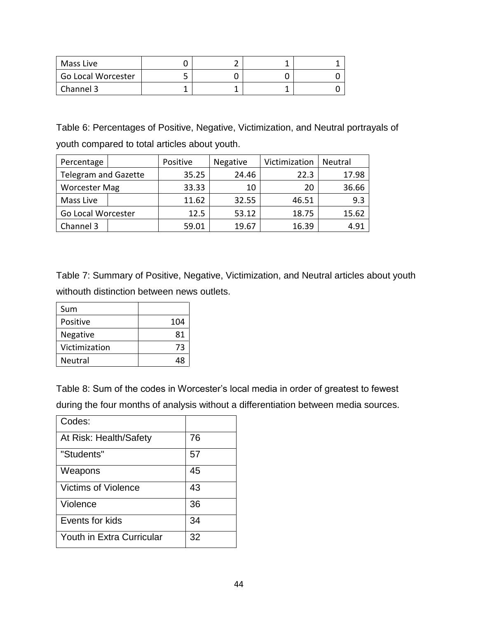| Mass Live          |  |  |
|--------------------|--|--|
| Go Local Worcester |  |  |
| Channel 3          |  |  |

Table 6: Percentages of Positive, Negative, Victimization, and Neutral portrayals of youth compared to total articles about youth.

| Percentage                  | Positive | <b>Negative</b> | Victimization | Neutral |
|-----------------------------|----------|-----------------|---------------|---------|
| <b>Telegram and Gazette</b> | 35.25    | 24.46           | 22.3          | 17.98   |
| <b>Worcester Mag</b>        | 33.33    | 10              | 20            | 36.66   |
| Mass Live                   | 11.62    | 32.55           | 46.51         | 9.3     |
| Go Local Worcester          | 12.5     | 53.12           | 18.75         | 15.62   |
| Channel 3                   | 59.01    | 19.67           | 16.39         | 4.91    |

Table 7: Summary of Positive, Negative, Victimization, and Neutral articles about youth withouth distinction between news outlets.

| Sum             |     |
|-----------------|-----|
| Positive        | 104 |
| <b>Negative</b> | 81  |
| Victimization   | 73  |
| Neutral         | 48  |

Table 8: Sum of the codes in Worcester's local media in order of greatest to fewest during the four months of analysis without a differentiation between media sources.

| Codes:                           |    |
|----------------------------------|----|
| At Risk: Health/Safety           | 76 |
| "Students"                       | 57 |
| Weapons                          | 45 |
| <b>Victims of Violence</b>       | 43 |
| Violence                         | 36 |
| Events for kids                  | 34 |
| <b>Youth in Extra Curricular</b> | 32 |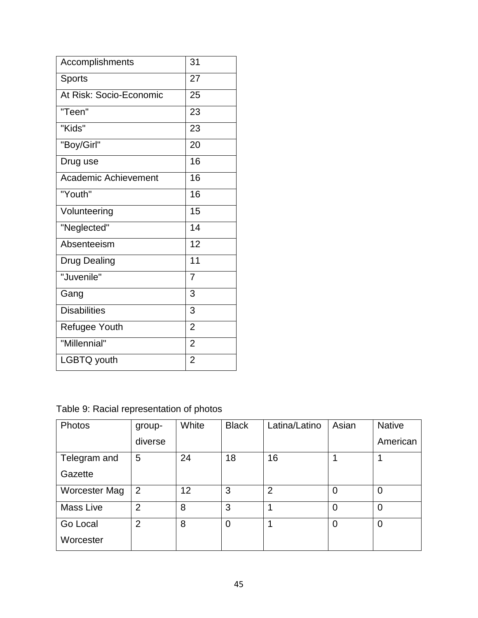| Accomplishments             | 31             |
|-----------------------------|----------------|
| <b>Sports</b>               | 27             |
| At Risk: Socio-Economic     | 25             |
| "Teen"                      | 23             |
| "Kids"                      | 23             |
| "Boy/Girl"                  | 20             |
| Drug use                    | 16             |
| <b>Academic Achievement</b> | 16             |
| "Youth"                     | 16             |
| Volunteering                | 15             |
| "Neglected"                 | 14             |
| Absenteeism                 | 12             |
| <b>Drug Dealing</b>         | 11             |
| "Juvenile"                  | 7              |
| Gang                        | 3              |
| <b>Disabilities</b>         | 3              |
| <b>Refugee Youth</b>        | $\overline{2}$ |
| "Millennial"                | $\overline{2}$ |
| LGBTQ youth                 | $\overline{2}$ |

Table 9: Racial representation of photos

| Photos           | group-         | White | <b>Black</b>   | Latina/Latino  | Asian | <b>Native</b>  |
|------------------|----------------|-------|----------------|----------------|-------|----------------|
|                  | diverse        |       |                |                |       | American       |
| Telegram and     | 5              | 24    | 18             | 16             |       |                |
| Gazette          |                |       |                |                |       |                |
| Worcester Mag    | 2              | 12    | 3              | $\overline{2}$ | 0     | $\overline{0}$ |
| <b>Mass Live</b> | $\overline{2}$ | 8     | 3              |                | 0     | $\overline{0}$ |
| Go Local         | $\overline{2}$ | 8     | $\overline{0}$ | 1              | 0     | $\overline{0}$ |
| Worcester        |                |       |                |                |       |                |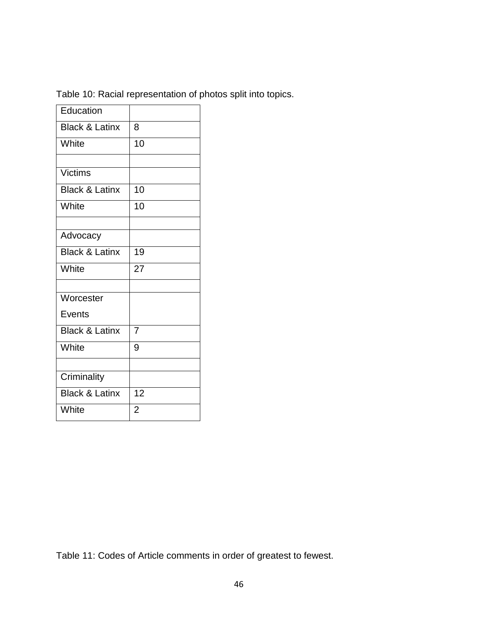| Education                 |                |
|---------------------------|----------------|
| <b>Black &amp; Latinx</b> | 8              |
| White                     | 10             |
|                           |                |
| <b>Victims</b>            |                |
| <b>Black &amp; Latinx</b> | 10             |
| White                     | 10             |
|                           |                |
| Advocacy                  |                |
| <b>Black &amp; Latinx</b> | 19             |
| White                     | 27             |
|                           |                |
| Worcester                 |                |
| <b>Events</b>             |                |
| <b>Black &amp; Latinx</b> | 7              |
| White                     | 9              |
|                           |                |
| Criminality               |                |
| <b>Black &amp; Latinx</b> | 12             |
| White                     | $\overline{2}$ |

Table 10: Racial representation of photos split into topics.

Table 11: Codes of Article comments in order of greatest to fewest.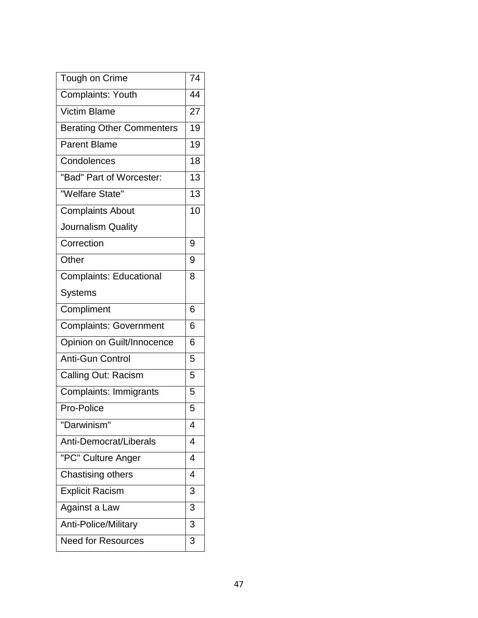| Tough on Crime                   | 74 |
|----------------------------------|----|
| Complaints: Youth                | 44 |
| Victim Blame                     | 27 |
| <b>Berating Other Commenters</b> | 19 |
| <b>Parent Blame</b>              | 19 |
| Condolences                      | 18 |
| "Bad" Part of Worcester:         | 13 |
| "Welfare State"                  | 13 |
| <b>Complaints About</b>          | 10 |
| Journalism Quality               |    |
| Correction                       | 9  |
| Other                            | 9  |
| <b>Complaints: Educational</b>   | 8  |
| <b>Systems</b>                   |    |
| Compliment                       | 6  |
| <b>Complaints: Government</b>    | 6  |
| Opinion on Guilt/Innocence       | 6  |
| <b>Anti-Gun Control</b>          | 5  |
| Calling Out: Racism              | 5  |
| Complaints: Immigrants           | 5  |
| Pro-Police                       | 5  |
| "Darwinism"                      | 4  |
| Anti-Democrat/Liberals           | 4  |
| "PC" Culture Anger               | 4  |
| Chastising others                | 4  |
| <b>Explicit Racism</b>           | 3  |
| Against a Law                    | 3  |
| Anti-Police/Military             | 3  |
| <b>Need for Resources</b>        | 3  |